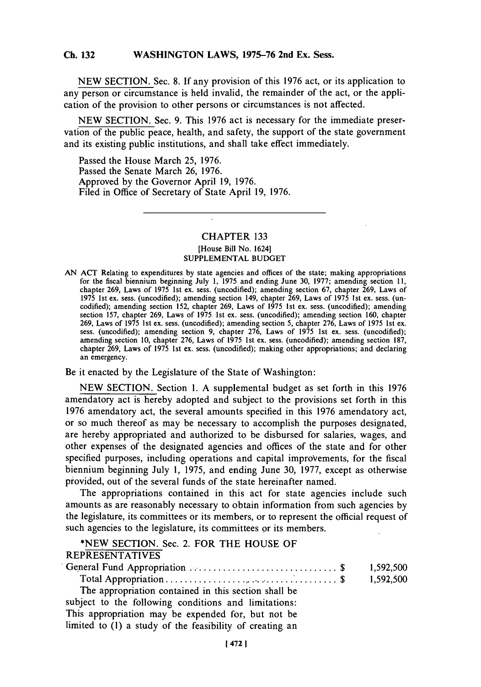**NEW SECTION. Sec. 8. If** any provision of this **1976** act, or its application to any person or circumstance is held invalid, the remainder of the act, or the application of the provision to other persons or circumstances is not affected.

**NEW SECTION.** Sec. **9.** This **1976** act is necessary for the immediate preservation of the public peace, health, and safety, the support of the state government and its existing public institutions, and shall take effect immediately.

Passed the House March **25, 1976.** Passed the Senate March **26, 1976.** Approved **by** the Governor April **19, 1976.** Filed in Office of Secretary of State April **19, 1976.**

# CHAPTER **133** [House Bill No. 1624] **SUPPLEMENTAL BUDGET**

**AN ACT** Relating to expenditures **by** state agencies and offices of the state; making appropriations for the fiscal biennium beginning July **1, 1975** and ending June **30, 1977;** amending section **11,** chapter **269,** Laws of **1975** 1st ex. sess. (uncodified); amending section **67,** chapter **269,** Laws of **1975** 1st ex. sess. (uncodified); amending section 149, chapter **269,** Laws of **1975** 1st ex. sess. (uncodified); amending section **152,** chapter **269,** Laws of **1975** 1st ex. sess. (uncodified); amending section **157,** chapter **269,** Laws of **1975** 1st ex. sess. (uncodified); amending section **160,** chapter **269,** Laws of **1975** 1st ex. sess. (uncodified); amending section **5,** chapter **276,** Laws of **1975** 1st ex. sess. (uncodified); amending section **9,** chapter **276,** Laws of **1975** 1st ex. sess. (uncodified); amending section **10,** chapter **276,** Laws of **1975** 1st ex. sess. (uncodified); amending section **187,** chapter **269.** Laws of **1975** 1st ex. sess. (uncodified); making other appropriations; and declaring an emergency.

Be it enacted **by** the Legislature of the State of Washington:

**NEW SECTION.** Section **1. A** supplemental budget as set forth in this **1976** amendatory act is hereby adopted and subject to the provisions set forth in this **1976** amendatory act, the several amounts specified in this **1976** amendatory act, or so much thereof as may be necessary to accomplish the purposes designated, are hereby appropriated and authorized to be disbursed for salaries, wages, and other expenses of the designated agencies and offices of the state and for other specified purposes, including operations and capital improvements, for the fiscal biennium beginning July **1, 1975,** and ending June **30, 1977,** except as otherwise provided, out of the several funds of the state hereinafter named.

The appropriations contained in this act for state agencies include such amounts as are reasonably necessary to obtain information from such agencies **by** the legislature, its committees or its members, or to represent the official request of such agencies to the legislature, its committees or its members.

**\*NEW SECTION.** Sec. 2. **FOR THE HOUSE OF** REPRESENTATIVES General Fund Appropriation **............................. \$ 1,592,500** Total Appropriation **................................... \$ 1,592,500** The appropriation contained in this section shall be subject to the following conditions and limitations: This appropriation may be expended for, but not be limited to **(1)** a study of the feasibility of creating an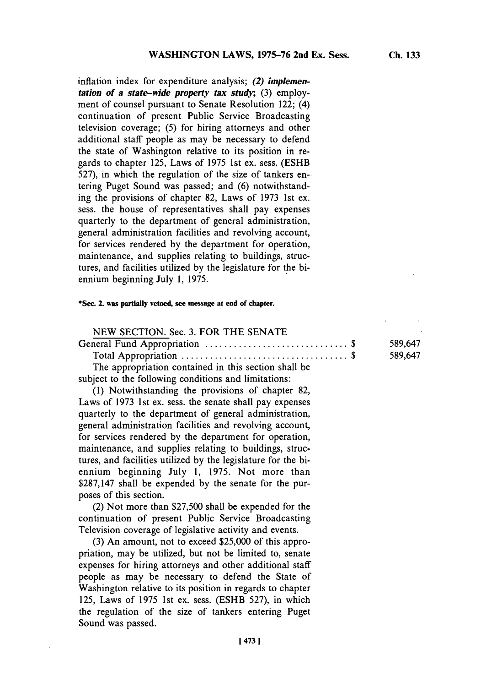inflation index for expenditure analysis; *(2) implementation of a state-wide property tax study;* (3) employment of counsel pursuant to Senate Resolution 122; (4) continuation of present Public Service Broadcasting television coverage; *(5)* for hiring attorneys and other additional staff people as may be necessary to defend the state of Washington relative to its position in regards to chapter **125,** Laws of *1975* 1st ex. sess. **(ESHB** *527),* in which the regulation of the size of tankers entering Puget Sound was passed; and **(6)** notwithstanding the provisions of chapter **82,** Laws of **1973** 1st ex. sess. the house of representatives shall pay expenses quarterly to the department of general administration, general administration facilities and revolving account, for services rendered **by** the department for operation, maintenance, and supplies relating to buildings, structures, and facilities utilized **by** the legislature for the biennium beginning July **1, 1975.**

### **\*Sec. 2. was partially vetoed, see miessage at end of chapter.**

| NEW SECTION. Sec. 3. FOR THE SENATE                   |         |
|-------------------------------------------------------|---------|
|                                                       | 589.647 |
|                                                       | 589,647 |
| The engrapsic tion contained in this contion shall be |         |

The appropriation contained in this section shall be subject to the following conditions and limitations:

**(1)** Notwithstanding the provisions of chapter **82,** Laws of **1973** 1st ex. sess. the senate shall pay expenses quarterly to the department of general administration, general administration facilities and revolving account, for services rendered **by** the department for operation, maintenance, and supplies relating to buildings, structures, and facilities utilized **by** the legislature for the biennium beginning July **1, 1975.** Not more than **\$287,147** shall be expended **by** the senate for the purposes of this section.

(2) Not more than **\$27,500** shall be expended for the continuation of present Public Service Broadcasting Television coverage of legislative activity and events.

**(3)** An amount, not to exceed **\$25,000** of this appropriation, may be utilized, but not be limited to, senate expenses for hiring attorneys and other additional staff people as may be necessary to defend the State of Washington relative to its position in regards to chapter **125,** Laws of **1975** 1st ex. sess. **(ESHB** *527),* in which the regulation of the size of tankers entering Puget Sound was passed.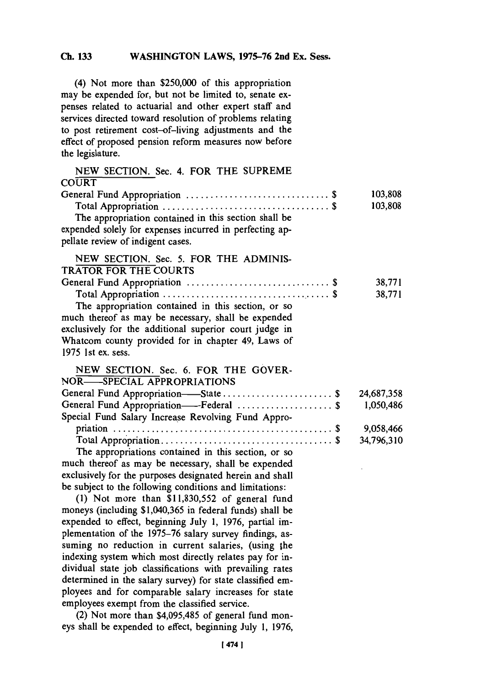(4) Not more than **\$250,000** of this appropriation may be expended for, but not be limited to, senate expenses related to actuarial and other expert staff and services directed toward resolution of problems relating to post retirement cost-of-living adjustments and the effect of proposed pension reform measures now before the legislature.

| NEW SECTION. Sec. 4. FOR THE SUPREME                      |            |
|-----------------------------------------------------------|------------|
| CO <sub>URT</sub>                                         |            |
|                                                           | 103,808    |
|                                                           | 103,808    |
| The appropriation contained in this section shall be      |            |
| expended solely for expenses incurred in perfecting ap-   |            |
| pellate review of indigent cases.                         |            |
| NEW SECTION. Sec. 5. FOR THE ADMINIS-                     |            |
| <b>TRATOR FOR THE COURTS</b>                              |            |
|                                                           | 38,771     |
|                                                           | 38,771     |
| The appropriation contained in this section, or so        |            |
| much thereof as may be necessary, shall be expended       |            |
| exclusively for the additional superior court judge in    |            |
| Whatcom county provided for in chapter 49, Laws of        |            |
| 1975 1st ex. sess.                                        |            |
| NEW SECTION. Sec. 6. FOR THE GOVER-                       |            |
| NOR-SPECIAL APPROPRIATIONS                                |            |
| General Fund Appropriation-State \$                       | 24,687,358 |
| General Fund Appropriation-Federal \$                     | 1,050,486  |
| Special Fund Salary Increase Revolving Fund Appro-        |            |
|                                                           | 9,058,466  |
|                                                           | 34,796,310 |
| The appropriations contained in this section, or so       |            |
| much thereof as may be necessary, shall be expended       |            |
| exclusively for the purposes designated herein and shall  |            |
| be subject to the following conditions and limitations:   |            |
| (1) Not more than \$11,830,552 of general fund            |            |
| moneys (including \$1,040,365 in federal funds) shall be  |            |
| expended to effect, beginning July 1, 1976, partial im-   |            |
| plementation of the 1975-76 salary survey findings, as-   |            |
| suming no reduction in current salaries, (using the       |            |
| indexing system which most directly relates pay for in-   |            |
| dividual state job classifications with prevailing rates  |            |
| determined in the salary survey) for state classified em- |            |
| ployees and for comparable salary increases for state     |            |
| employees exempt from the classified service.             |            |

(2) Not more than \$4,095,485 of general fund moneys shall be expended to effect, beginning July **1, 1976,**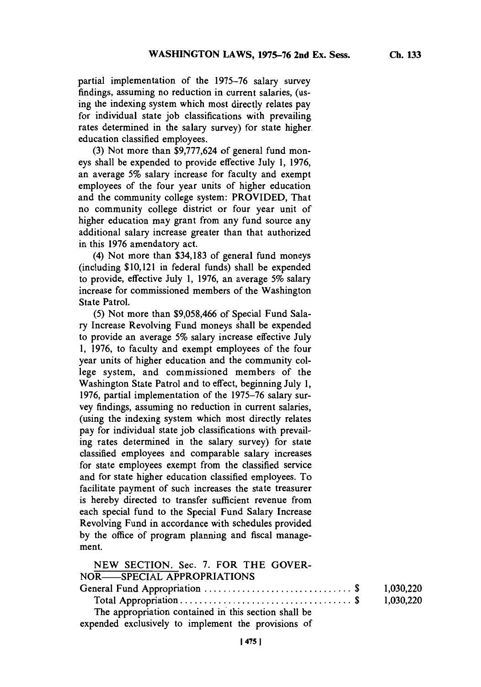partial implementation of the *1975-76* salary survey findings, assuming no reduction in current salaries, (using the indexing system which most directly relates pay for individual state **job** classifications with prevailing rates determined in the salary survey) for state higher. education classified employees.

**(3)** Not more than **\$9,777,624** of general fund moneys shall be expended to provide effective July **1, 1976,** an average *5%* salary increase for faculty and exempt employees of the four year units of higher education and the community college system: PROVIDED, That no community college district or four year unit of higher education may grant from any fund source any additional salary increase greater than that authorized in this **1976** amendatory act.

(4) Not more than **\$34,183** of general fund moneys (including \$10,121 in federal funds) shall be expended to provide, effective July **1, 1976,** an average *5%* salary increase for commissioned members of the Washington State Patrol.

*(5)* Not more than **\$9,058,466** of Special Fund Salary Increase Revolving Fund moneys shall be expended to provide an average *5%* salary increase effective July **1, 1976,** to faculty and exempt employees of the four year units of higher education and the community college system, and commissioned members of the Washington State Patrol and to effect, beginning July **1, 1976,** partial implementation of the **1975-76** salary survey findings, assuming no reduction in current salaries, (using the indexing system which most directly relates pay for individual state **job** classifications with prevailing rates determined in the salary survey) for state classified employees and comparable salary increases for state employees exempt from the classified service and for state higher education classified employees. To facilitate payment of such increases the state treasurer is hereby directed to transfer sufficient revenue from each special fund to the Special Fund Salary Increase Revolving Fund in accordance with schedules provided **by** the office of program planning and fiscal management.

| NEW SECTION. Sec. 7. FOR THE GOVER-                  |           |
|------------------------------------------------------|-----------|
| NOR—SPECIAL APPROPRIATIONS                           |           |
|                                                      | 1.030.220 |
|                                                      | 1,030,220 |
| The appropriation contained in this section shall be |           |
| expended exclusively to implement the provisions of  |           |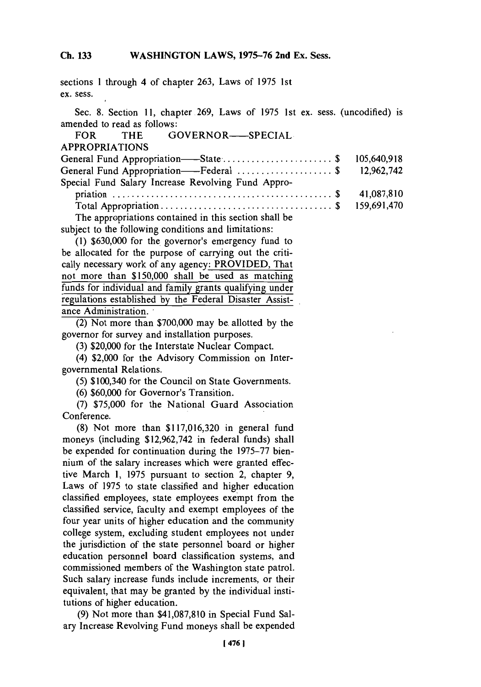sections 1 through 4 of chapter **263,** Laws of **1975** 1st ex. sess.

Sec. **8.** Section **11,** chapter.269, Laws of *1975* 1st ex. sess. (uncodified) is amended to read as follows:

|                       | FOR THE GOVERNOR-SPECIAL                              |  |             |
|-----------------------|-------------------------------------------------------|--|-------------|
| <b>APPROPRIATIONS</b> |                                                       |  |             |
|                       | General Fund Appropriation——State\$                   |  | 105,640,918 |
|                       | General Fund Appropriation——Federal \$ 12,962,742     |  |             |
|                       | Special Fund Salary Increase Revolving Fund Appro-    |  |             |
|                       |                                                       |  | 41,087,810  |
|                       |                                                       |  | 159,691,470 |
|                       | The appropriations contained in this section shall be |  |             |

subject to the following conditions and limitations:

**(1) \$630,000** for the, governor's emergency fund to be allocated for the purpose of carrying out the critically necessary work of any agency: PROVIDED, That not more than **\$150,000** shall be used as matching funds for individual and family grants qualifying under regulations established **by** the Federal Disaster Assistance Administration.

(2) Not more than **\$700,000** may be. allotted **by** the governor for survey and installation purposes.

**(3)** \$20,000 for the Interstate Nuclear Compact.

(4) \$2,000 for the Advisory Commission on Intergovernmental Relations.

*(5)* \$100,340 for the Council on State Governments.

**(6) \$60,000** for Governor's Transition.

**(7) \$75,000** for the National Guard Association Conference.

**(8)** Not more than **\$117,016,320** in general fund moneys (including **\$12,962,742** in federal funds) shall be expended for continuation during the **1975-77** biennium of the salary increases which were granted effective March **1, 1975** pursuant to section 2, chapter **9,** Laws of **1975** to state classified and higher education classified employees, state employees exempt from the classified service, faculty and exempt employees of the four year units of higher education and the community college system, excluding student employees not under the jurisdiction of the state personnel board or higher education personnel board classification systems, and commissioned members of the Washington state patrol. Such salary increase funds include increments, or their equivalent, that may be granted **by** the individual institutions of higher education.

**(9)** Not more than **\$41,087,810** in Special Fund Salary Increase Revolving Fund moneys shall be expended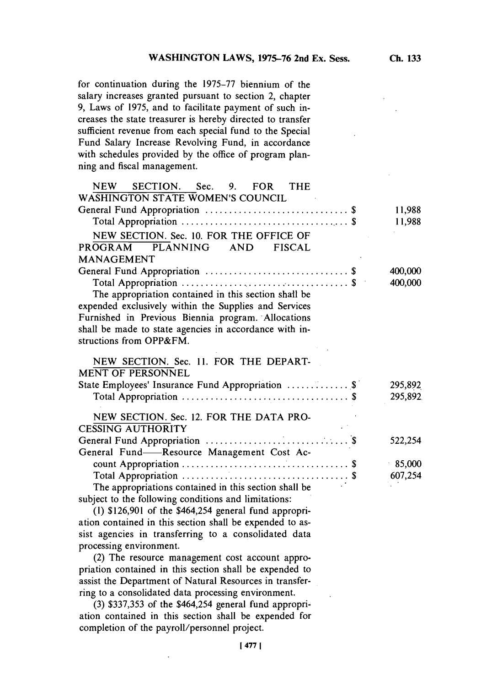**for** continuation during the **1975-77** biennium of the salary increases granted pursuant to section 2, chapter **9,** Laws of **1975,** and to facilitate payment of such increases the state treasurer is hereby directed to transfer sufficient revenue from each special fund to the Special Fund Salary Increase Revolving Fund, in accordance with schedules provided **by** the office of program planning and fiscal management.

| NEW SECTION. Sec. 9. FOR THE                             |         |
|----------------------------------------------------------|---------|
| <b>WASHINGTON STATE WOMEN'S COUNCIL</b>                  |         |
|                                                          | 11,988  |
|                                                          | 11,988  |
| NEW SECTION. Sec. 10. FOR THE OFFICE OF                  |         |
| PLANNING AND FISCAL<br>PROGRAM                           |         |
| <b>MANAGEMENT</b>                                        |         |
|                                                          | 400,000 |
|                                                          | 400,000 |
| The appropriation contained in this section shall be     |         |
| expended exclusively within the Supplies and Services    |         |
| Furnished in Previous Biennia program. Allocations       |         |
| shall be made to state agencies in accordance with in-   |         |
| structions from OPP&FM.                                  |         |
|                                                          |         |
| NEW SECTION. Sec. 11. FOR THE DEPART-                    |         |
| <b>MENT OF PERSONNEL</b>                                 |         |
| State Employees' Insurance Fund Appropriation  \$        | 295,892 |
|                                                          | 295,892 |
| NEW SECTION. Sec. 12. FOR THE DATA PRO-                  |         |
| <b>CESSING AUTHORITY</b>                                 |         |
|                                                          | 522,254 |
| General Fund-Resource Management Cost Ac-                |         |
|                                                          | 85,000  |
|                                                          | 607,254 |
| The appropriations contained in this section shall be    |         |
| subject to the following conditions and limitations:     |         |
| $(1)$ \$126,901 of the \$464,254 general fund appropri-  |         |
| ation contained in this section shall be expended to as- |         |
| sist agencies in transferring to a consolidated data     |         |
| processing environment.                                  |         |
| (2) The resource management cost account appro-          |         |

priation contained in this section shall be expended to assist the Department of Natural Resources in transferring to a consolidated data processing environment.

**(3) \$337,353** of the \$464,254 general fund appropriation contained in this section shall be expended for completion of the payroll/personnel project.

 $\ddot{\phantom{0}}$ 

**[ 477 1**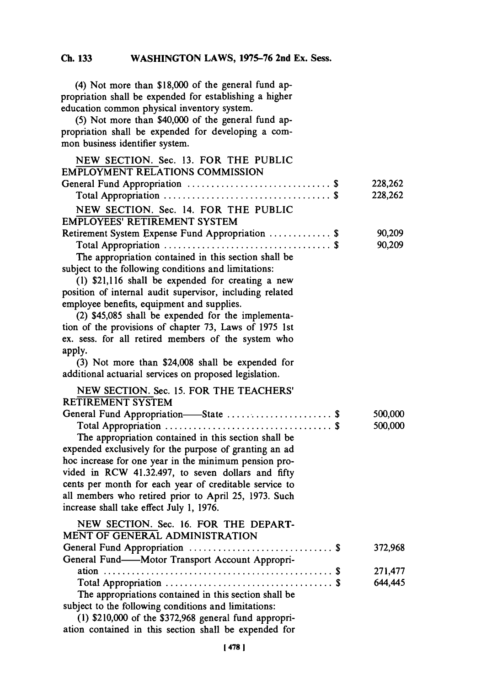(4) Not more than **\$18,000** of the general fund appropriation shall be expended for establishing a higher education common physical inventory system.

**(5)** Not more than \$40,000 of the general fund appropriation shall be expended for developing a common business identifier system.

| NEW SECTION. Sec. 13. FOR THE PUBLIC                     |         |
|----------------------------------------------------------|---------|
| <b>EMPLOYMENT RELATIONS COMMISSION</b>                   |         |
|                                                          | 228,262 |
|                                                          | 228,262 |
| NEW SECTION. Sec. 14. FOR THE PUBLIC                     |         |
| <b>EMPLOYEES' RETIREMENT SYSTEM</b>                      |         |
| Retirement System Expense Fund Appropriation  \$         | 90,209  |
|                                                          | 90,209  |
| The appropriation contained in this section shall be     |         |
| subject to the following conditions and limitations:     |         |
| (1) \$21,116 shall be expended for creating a new        |         |
| position of internal audit supervisor, including related |         |
| employee benefits, equipment and supplies.               |         |
| (2) \$45,085 shall be expended for the implementa-       |         |
| tion of the provisions of chapter 73, Laws of 1975 1st   |         |
| ex. sess. for all retired members of the system who      |         |
| apply.                                                   |         |
| (3) Not more than \$24,008 shall be expended for         |         |
| additional actuarial services on proposed legislation.   |         |
| NEW SECTION. Sec. 15. FOR THE TEACHERS'                  |         |
| <b>RETIREMENT SYSTEM</b>                                 |         |
| General Fund Appropriation-State  \$                     | 500,000 |
|                                                          | 500,000 |
| The appropriation contained in this section shall be     |         |
| expended exclusively for the purpose of granting an ad   |         |
| hoc increase for one year in the minimum pension pro-    |         |
| vided in RCW 41.32.497, to seven dollars and fifty       |         |
| cents per month for each year of creditable service to   |         |
| all members who retired prior to April 25, 1973. Such    |         |
| increase shall take effect July 1, 1976.                 |         |
| NEW SECTION. Sec. 16. FOR THE DEPART-                    |         |
| MENT OF GENERAL ADMINISTRATION                           |         |
|                                                          | 372,968 |
| General Fund-Motor Transport Account Appropri-           |         |
|                                                          | 271,477 |
|                                                          | 644,445 |
| The appropriations contained in this section shall be    |         |
| subject to the following conditions and limitations:     |         |
| $(1)$ \$210,000 of the \$372,968 general fund appropri-  |         |

ation contained in this section shall be expended for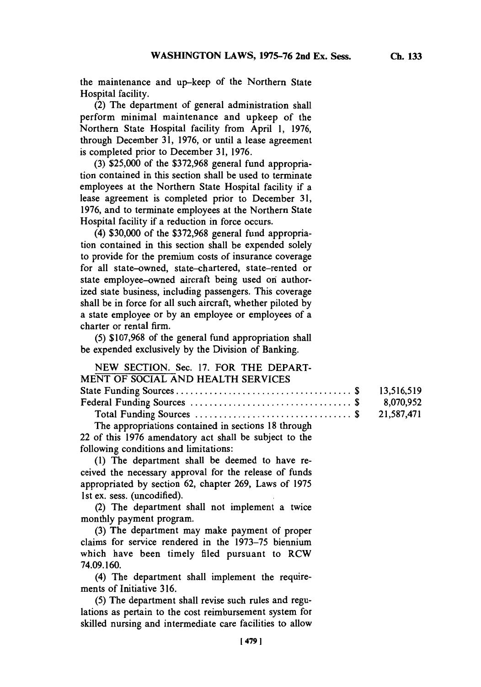the maintenance and up-keep of the Northern State Hospital facility.

(2) The department of general administration shall perform minimal maintenance and upkeep of the Northern State Hospital facility from April **1, 1976,** through December **31, 1976,** or until a lease agreement is completed prior to December **31, 1976.**

**(3)** *\$25,000* of the **\$372,968** general fund appropriation contained in this section shall be used to terminate employees at the Northern State Hospital facility if a lease agreement is completed prior to December **31, 1976,** and to terminate employees at the Northern State Hospital facility if a reduction in force occurs.

(4) **\$30,000** of the **\$372,968** general fund appropriation contained in this section shall be expended solely to provide for the premium costs of insurance coverage for all state-owned, state-chartered, state-rented or state employee-owned aircraft being used on authorized state business, including passengers. This coverage shall be in force for all such aircraft, whether piloted **by** a state employee or **by** an employee or employees of a charter or rental firm.

*(5)* **\$107,968** of the general fund appropriation shall be expended exclusively **by** the Division of Banking.

| NEW SECTION. Sec. 17. FOR THE DEPART- |  |
|---------------------------------------|--|
| MENT OF SOCIAL AND HEALTH SERVICES    |  |
|                                       |  |
|                                       |  |
|                                       |  |

The appropriations contained in sections **18** through 22 of this **1976** amendatory act shall be subject to the following conditions and limitations:

**(1)** The department shall be deemed to have received the necessary approval for the release of funds appropriated **by** section **62,** chapter **269,** Laws of **1975** 1st ex. sess. (uncodified).

(2) The department shall not implement a twice monthly payment program.

**(3)** The department may make payment of proper claims for service rendered in the **1973-75** biennium which have been timely filed pursuant to RCW **74.09.160.**

(4) The department shall implement the requirements of Initiative **316.**

**(5)** The department shall revise such rules and regulations as pertain to the cost reimbursement system for skilled nursing and intermediate care facilities to allow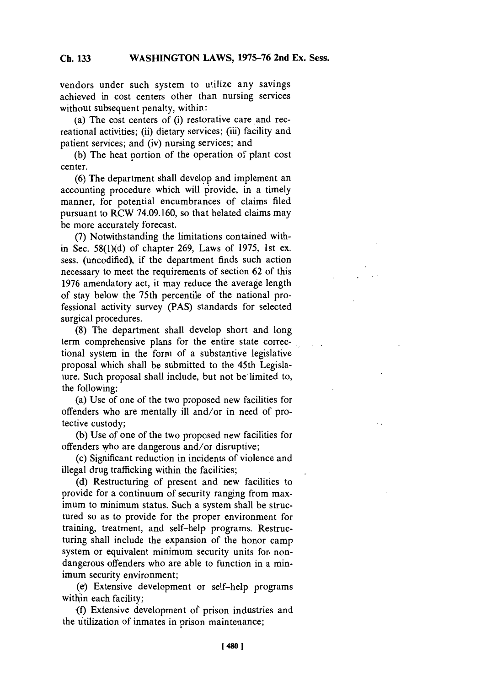vendors under such system to utilize any savings achieved in cost centers other than nursing services without subsequent penalty, within:

(a) The cost centers of (i) restorative care and recreational activities; (ii) dietary services; (iii) facility and patient services; and (iv) nursing services; and

**(b)** The heat portion of the operation of plant cost center.

**(6)** The department shall develop and implement an accounting procedure which will provide, in a timely manner, for potential encumbrances of claims filed pursuant to RCW **74.09.160,** so that belated claims may be more accurately forecast.

**(7)** Notwithstanding the limitations contained within Sec. *58(l)(d)* of chapter **269,** Laws of **1975,** 1st ex. sess. (uncodified), if the department finds such action necessary to meet the requirements of section **62** of this **1976** amendatory act, it may reduce the average length of stay below the 75th percentile of the national professional activity survey **(PAS)** standards for selected surgical procedures.

**(8)** The department shall develop short and long term comprehensive plans for the entire state correctional system in the form of a substantive legislative proposal which shall be submitted to the 45th Legislature. Such proposal shall include, but not be limited to, the following:

(a) Use of one of the two proposed new facilities for offenders who are mentally ill and/or in need of protective custody;

(b) Use of one of the two proposed new facilities for offenders who are dangerous and/or disruptive;

(c) Significant reduction in incidents of violence and illegal drug trafficking within the facilities;

**(d)** Restructuring of present and new facilities to provide for a continuum of security ranging from maximum to minimum status. Such a system shall be structured so as to provide for the proper environment for training, treatment, and self-help programs. Restructuring shall include the expansion of the honor camp system or equivalent minimum security units for. nondangerous offenders who are able to function in a minimum security environment;

(e) Extensive development or self-help programs within each facility;

**<f)** Extensive development of prison industries and the utilization of inmates in prison maintenance;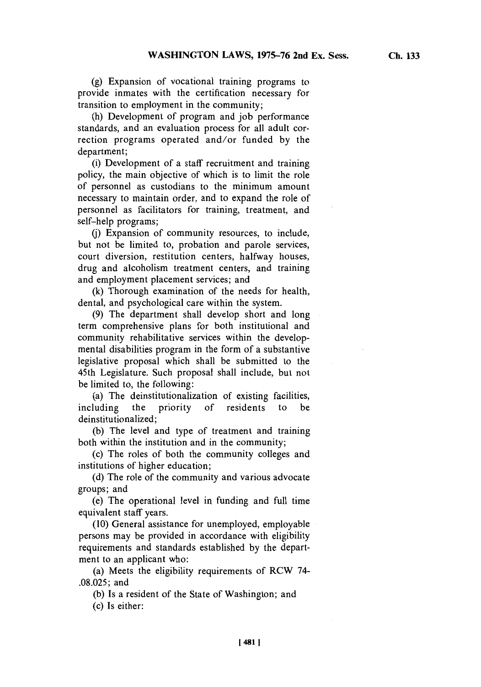**(g)** Expansion of vocational training programs to provide inmates with the certification necessary for transition to employment in the community;

(h) Development of program and **job** performance standards, and an evaluation process for all adult correction programs operated and/or funded **by** the department;

(i) Development of a staff recruitment and training policy, the main objective of which is to limit the role of personnel as custodians to the minimum amount necessary to maintain order, and to expand the role of personnel as facilitators for training, treatment, and self-help programs;

**(j)** Expansion of community resources, to include, but not be limited to, probation and parole services, court diversion, restitution centers, halfway houses, drug and alcoholism treatment centers, and training and employment placement services; and

**(k)** Thorough examination of the needs for health, dental, and psychological care within the system.

**(9)** The department shall develop short and long term comprehensive plans for both institutional and community rehabilitative services within the developmental disabilities program in the form of a substantive legislative proposal which shall be submitted to the 45th Legislature. Such proposal shall include, but not be limited to, the following:

(a) The deinstitutionalization of existing facilities, including the priority of residents to be deinstitutionalized;

**(b)** The level and type of treatment and training both within the institution and in the community;

(c) The roles of both the community colleges and institutions of higher education;

**(d)** The role of the community and various advocate groups; and

(e) The operational level in funding and full time equivalent staff years.

**(10)** General assistance for unemployed, employable persons may be provided in accordance with eligibility requirements and standards established **by** the department to an applicant who:

(a) Meets the eligibility requirements of RCW 74- **.08.025;** and

**(b)** Is a resident of the State of Washington; and (c) Is either: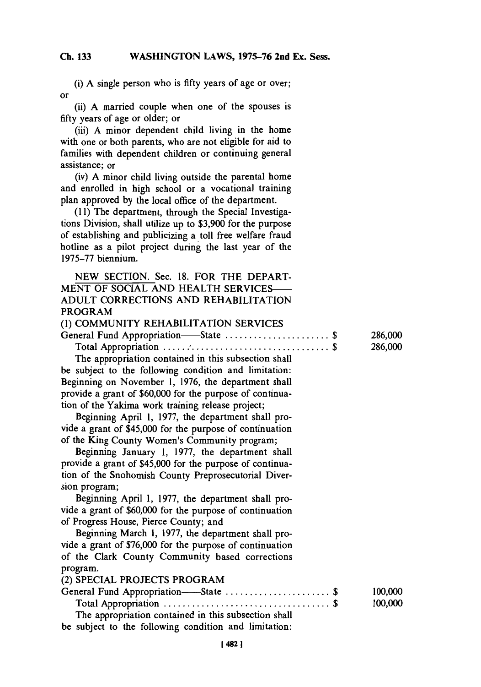**(i) A** single person who is fifty years of age or over; or

(ii) **A** married couple when one of the spouses is **fifty** years of age or older; or

(iii) **A** minor dependent child living in the home with one or both parents, who are not eligible for aid to families with dependent children or continuing general assistance; or

(iv) **A** minor child living outside the parental home and enrolled in high school or a vocational training plan approved **by** the local office of the department.

**(11)** The department, through the Special Investigations Division, shall utilize up to **\$3,900** for the purpose of establishing and publicizing a toll free welfare fraud hotline as a pilot project during the last year of the **1975-77** biennium.

|         |  | NEW SECTION. Sec. 18. FOR THE DEPART- |
|---------|--|---------------------------------------|
|         |  | MENT OF SOCIAL AND HEALTH SERVICES—   |
|         |  | ADULT CORRECTIONS AND REHABILITATION  |
| PROGRAM |  |                                       |

| (1) COMMUNITY REHABILITATION SERVICES |         |
|---------------------------------------|---------|
| General Fund Appropriation—State \$   | 286,000 |
|                                       | 286,000 |

The appropriation contained in this subsection shall be subject to the following condition and limitation: Beginning on November **1, 1976,** the department shall provide a grant of **\$60,000** for the purpose of continuation of the Yakima work training release project;

Beginning April **1, 1977,** the department shall provide a grant of \$45,000 for the purpose of continuation of the King County Women's Community program;

Beginning January **1, 1977,** the department shall provide a grant of \$45,000 for the purpose of continuation of the Snohomish County Preprosecutorial Diversion program;

Beginning April **1, 1977,** the department shall provide a grant of **\$60,000** for the purpose of continuation of Progress House, Pierce County; and

Beginning March **1, 1977,** the department shall provide a grant of **\$76,000** for the purpose of continuation of the Clark County Community based corrections program.

(2) SPECIAL **PROJECTS** PROGRAM

| General Fund Appropriation——State \$                  | 100,000 |
|-------------------------------------------------------|---------|
|                                                       | 100,000 |
| The appropriation contained in this subsection shall  |         |
| be subject to the following condition and limitation: |         |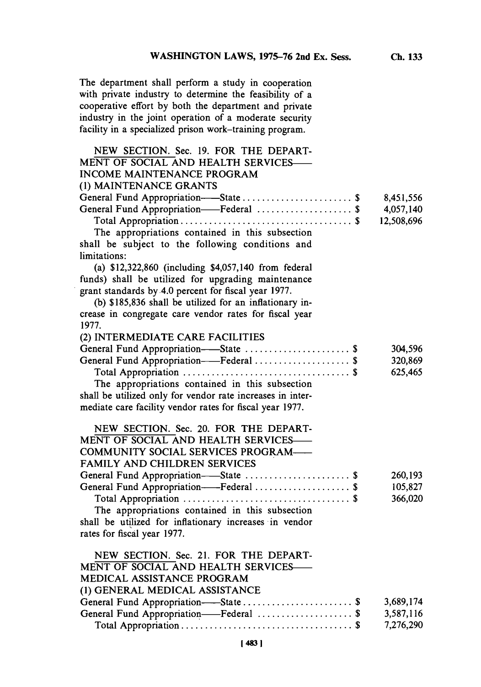**The** department shall perform a study in cooperation with private industry to determine the feasibility of a cooperative effort **by** both the department and private industry in the joint operation of a moderate security facility in a specialized prison work-training program.

 $\ddot{\phantom{a}}$ 

| 8,451,556<br>General Fund Appropriation-Federal  \$<br>4,057,140<br>12,508,696<br>The appropriations contained in this subsection<br>shall be subject to the following conditions and<br>(a) \$12,322,860 (including \$4,057,140 from federal<br>funds) shall be utilized for upgrading maintenance<br>(b) \$185,836 shall be utilized for an inflationary in-<br>crease in congregate care vendor rates for fiscal year<br>1977.<br>(2) INTERMEDIATE CARE FACILITIES<br>General Fund Appropriation-State  \$<br>304,596<br>General Fund Appropriation-Federal  \$<br>320,869<br>625,465<br>The appropriations contained in this subsection<br>shall be utilized only for vendor rate increases in inter-<br>NEW SECTION. Sec. 20. FOR THE DEPART-<br>MENT OF SOCIAL AND HEALTH SERVICES-<br>COMMUNITY SOCIAL SERVICES PROGRAM-<br>FAMILY AND CHILDREN SERVICES<br>General Fund Appropriation-State \$<br>260,193<br>General Fund Appropriation-Federal  \$<br>105,827<br>366,020<br>The appropriations contained in this subsection<br>NEW SECTION. Sec. 21. FOR THE DEPART-<br>MENT OF SOCIAL AND HEALTH SERVICES-<br>MEDICAL ASSISTANCE PROGRAM<br>(1) GENERAL MEDICAL ASSISTANCE<br>3,689,174 | NEW SECTION. Sec. 19. FOR THE DEPART-<br>MENT OF SOCIAL AND HEALTH SERVICES-<br><b>INCOME MAINTENANCE PROGRAM</b> |           |
|---------------------------------------------------------------------------------------------------------------------------------------------------------------------------------------------------------------------------------------------------------------------------------------------------------------------------------------------------------------------------------------------------------------------------------------------------------------------------------------------------------------------------------------------------------------------------------------------------------------------------------------------------------------------------------------------------------------------------------------------------------------------------------------------------------------------------------------------------------------------------------------------------------------------------------------------------------------------------------------------------------------------------------------------------------------------------------------------------------------------------------------------------------------------------------------------------|-------------------------------------------------------------------------------------------------------------------|-----------|
|                                                                                                                                                                                                                                                                                                                                                                                                                                                                                                                                                                                                                                                                                                                                                                                                                                                                                                                                                                                                                                                                                                                                                                                                   | (1) MAINTENANCE GRANTS                                                                                            |           |
|                                                                                                                                                                                                                                                                                                                                                                                                                                                                                                                                                                                                                                                                                                                                                                                                                                                                                                                                                                                                                                                                                                                                                                                                   | General Fund Appropriation-State  \$                                                                              |           |
|                                                                                                                                                                                                                                                                                                                                                                                                                                                                                                                                                                                                                                                                                                                                                                                                                                                                                                                                                                                                                                                                                                                                                                                                   |                                                                                                                   |           |
|                                                                                                                                                                                                                                                                                                                                                                                                                                                                                                                                                                                                                                                                                                                                                                                                                                                                                                                                                                                                                                                                                                                                                                                                   |                                                                                                                   |           |
|                                                                                                                                                                                                                                                                                                                                                                                                                                                                                                                                                                                                                                                                                                                                                                                                                                                                                                                                                                                                                                                                                                                                                                                                   | limitations:                                                                                                      |           |
|                                                                                                                                                                                                                                                                                                                                                                                                                                                                                                                                                                                                                                                                                                                                                                                                                                                                                                                                                                                                                                                                                                                                                                                                   |                                                                                                                   |           |
|                                                                                                                                                                                                                                                                                                                                                                                                                                                                                                                                                                                                                                                                                                                                                                                                                                                                                                                                                                                                                                                                                                                                                                                                   | grant standards by 4.0 percent for fiscal year 1977.                                                              |           |
|                                                                                                                                                                                                                                                                                                                                                                                                                                                                                                                                                                                                                                                                                                                                                                                                                                                                                                                                                                                                                                                                                                                                                                                                   |                                                                                                                   |           |
|                                                                                                                                                                                                                                                                                                                                                                                                                                                                                                                                                                                                                                                                                                                                                                                                                                                                                                                                                                                                                                                                                                                                                                                                   |                                                                                                                   |           |
|                                                                                                                                                                                                                                                                                                                                                                                                                                                                                                                                                                                                                                                                                                                                                                                                                                                                                                                                                                                                                                                                                                                                                                                                   |                                                                                                                   |           |
|                                                                                                                                                                                                                                                                                                                                                                                                                                                                                                                                                                                                                                                                                                                                                                                                                                                                                                                                                                                                                                                                                                                                                                                                   |                                                                                                                   |           |
|                                                                                                                                                                                                                                                                                                                                                                                                                                                                                                                                                                                                                                                                                                                                                                                                                                                                                                                                                                                                                                                                                                                                                                                                   |                                                                                                                   |           |
|                                                                                                                                                                                                                                                                                                                                                                                                                                                                                                                                                                                                                                                                                                                                                                                                                                                                                                                                                                                                                                                                                                                                                                                                   |                                                                                                                   |           |
|                                                                                                                                                                                                                                                                                                                                                                                                                                                                                                                                                                                                                                                                                                                                                                                                                                                                                                                                                                                                                                                                                                                                                                                                   |                                                                                                                   |           |
|                                                                                                                                                                                                                                                                                                                                                                                                                                                                                                                                                                                                                                                                                                                                                                                                                                                                                                                                                                                                                                                                                                                                                                                                   | mediate care facility vendor rates for fiscal year 1977.                                                          |           |
|                                                                                                                                                                                                                                                                                                                                                                                                                                                                                                                                                                                                                                                                                                                                                                                                                                                                                                                                                                                                                                                                                                                                                                                                   |                                                                                                                   |           |
|                                                                                                                                                                                                                                                                                                                                                                                                                                                                                                                                                                                                                                                                                                                                                                                                                                                                                                                                                                                                                                                                                                                                                                                                   |                                                                                                                   |           |
|                                                                                                                                                                                                                                                                                                                                                                                                                                                                                                                                                                                                                                                                                                                                                                                                                                                                                                                                                                                                                                                                                                                                                                                                   |                                                                                                                   |           |
|                                                                                                                                                                                                                                                                                                                                                                                                                                                                                                                                                                                                                                                                                                                                                                                                                                                                                                                                                                                                                                                                                                                                                                                                   |                                                                                                                   |           |
|                                                                                                                                                                                                                                                                                                                                                                                                                                                                                                                                                                                                                                                                                                                                                                                                                                                                                                                                                                                                                                                                                                                                                                                                   |                                                                                                                   |           |
|                                                                                                                                                                                                                                                                                                                                                                                                                                                                                                                                                                                                                                                                                                                                                                                                                                                                                                                                                                                                                                                                                                                                                                                                   |                                                                                                                   |           |
|                                                                                                                                                                                                                                                                                                                                                                                                                                                                                                                                                                                                                                                                                                                                                                                                                                                                                                                                                                                                                                                                                                                                                                                                   |                                                                                                                   |           |
|                                                                                                                                                                                                                                                                                                                                                                                                                                                                                                                                                                                                                                                                                                                                                                                                                                                                                                                                                                                                                                                                                                                                                                                                   |                                                                                                                   |           |
|                                                                                                                                                                                                                                                                                                                                                                                                                                                                                                                                                                                                                                                                                                                                                                                                                                                                                                                                                                                                                                                                                                                                                                                                   | shall be utilized for inflationary increases in vendor                                                            |           |
|                                                                                                                                                                                                                                                                                                                                                                                                                                                                                                                                                                                                                                                                                                                                                                                                                                                                                                                                                                                                                                                                                                                                                                                                   | rates for fiscal year 1977.                                                                                       |           |
|                                                                                                                                                                                                                                                                                                                                                                                                                                                                                                                                                                                                                                                                                                                                                                                                                                                                                                                                                                                                                                                                                                                                                                                                   |                                                                                                                   |           |
|                                                                                                                                                                                                                                                                                                                                                                                                                                                                                                                                                                                                                                                                                                                                                                                                                                                                                                                                                                                                                                                                                                                                                                                                   |                                                                                                                   |           |
|                                                                                                                                                                                                                                                                                                                                                                                                                                                                                                                                                                                                                                                                                                                                                                                                                                                                                                                                                                                                                                                                                                                                                                                                   |                                                                                                                   |           |
|                                                                                                                                                                                                                                                                                                                                                                                                                                                                                                                                                                                                                                                                                                                                                                                                                                                                                                                                                                                                                                                                                                                                                                                                   |                                                                                                                   |           |
|                                                                                                                                                                                                                                                                                                                                                                                                                                                                                                                                                                                                                                                                                                                                                                                                                                                                                                                                                                                                                                                                                                                                                                                                   |                                                                                                                   |           |
|                                                                                                                                                                                                                                                                                                                                                                                                                                                                                                                                                                                                                                                                                                                                                                                                                                                                                                                                                                                                                                                                                                                                                                                                   |                                                                                                                   | 3,587,116 |
| 7,276,290                                                                                                                                                                                                                                                                                                                                                                                                                                                                                                                                                                                                                                                                                                                                                                                                                                                                                                                                                                                                                                                                                                                                                                                         |                                                                                                                   |           |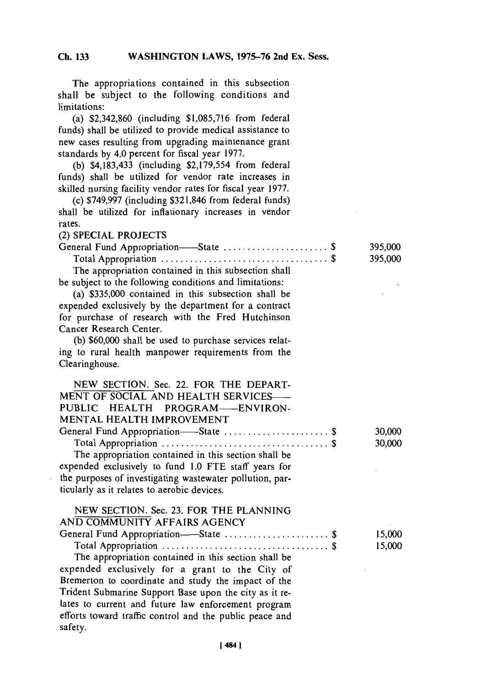**The** appropriations contained in this subsection shall be subject to the following conditions and limitations:

(a) **\$2,342,860** (including **\$1,085,716** from federal funds) shall be utilized to provide medical assistance to new cases resulting from upgrading maintenance grant standards **by** 4.0 percent for fiscal year **1977.**

**(b)** \$4,183,433 (including **\$2,179,554** from federal funds) shall be utilized for vendor rate increases in skilled nursing facility vendor rates for fiscal year **1977.**

(c) **\$749,997** (including **\$321,846** from federal funds) shall be utilized for inflationary increases in vendor rates.

(2) **SPECIAL PROJECTS**

| General Fund Appropriation—State \$                     | 395,000 |
|---------------------------------------------------------|---------|
|                                                         | 395,000 |
| The appropriation contained in this subsection shall    |         |
| be subject to the following conditions and limitations: |         |

(a) **\$335,000** contained in this subsection shall be expended exclusively **by** the department for a contract for purchase of research with the Fred Hutchinson Cancer Research Center.

**(b) \$60,000** shall be used to purchase services relating to rural health manpower requirements from the Clearinghouse.

| NEW SECTION. Sec. 22. FOR THE DEPART-                                  |        |
|------------------------------------------------------------------------|--------|
| MENT OF SOCIAL AND HEALTH SERVICES-                                    |        |
| PUBLIC HEALTH PROGRAM-ENVIRON-                                         |        |
| MENTAL HEALTH IMPROVEMENT                                              |        |
| General Fund Appropriation-State  \$                                   | 30,000 |
|                                                                        | 30,000 |
| The appropriation contained in this section shall be                   |        |
| expended exclusively to fund 1.0 FTE staff years for                   |        |
| the purposes of investigating wastewater pollution, par-               |        |
| ticularly as it relates to aerobic devices.                            |        |
| NEW SECTION. Sec. 23. FOR THE PLANNING<br>AND COMMUNITY AFFAIRS AGENCY |        |
| General Fund Appropriation-State  \$                                   | 15,000 |
|                                                                        | 15,000 |
| The appropriation contained in this section shall be                   |        |
| expended exclusively for a grant to the City of                        |        |
| Bremerton to coordinate and study the impact of the                    |        |
| Trident Submarine Support Base upon the city as it re-                 |        |
| lates to current and future law enforcement program                    |        |
| efforts toward traffic control and the public peace and                |        |
| safety.                                                                |        |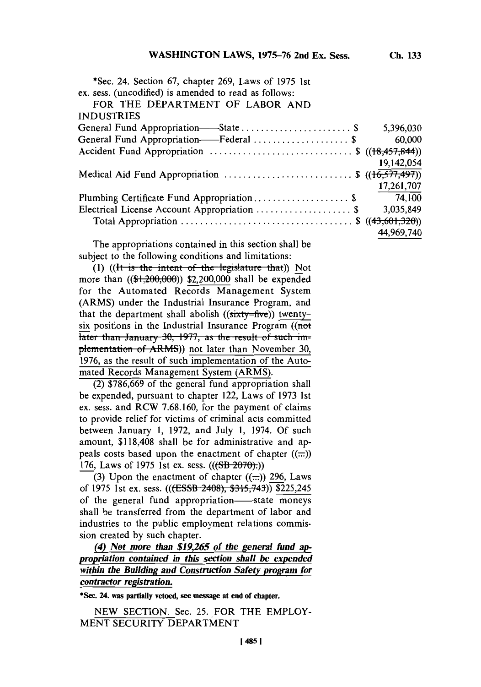| <b>INDUSTRIES</b><br>5,396,030<br>General Fund Appropriation-Federal \$<br>60,000<br>Accident Fund Appropriation $\ldots \ldots \ldots \ldots \ldots \ldots \ldots$ \$ ((18,457,844)) |  |
|---------------------------------------------------------------------------------------------------------------------------------------------------------------------------------------|--|
|                                                                                                                                                                                       |  |
|                                                                                                                                                                                       |  |
|                                                                                                                                                                                       |  |
|                                                                                                                                                                                       |  |
| 19,142,054                                                                                                                                                                            |  |
| Medical Aid Fund Appropriation \$ $((16,577,497))$                                                                                                                                    |  |
| 17,261,707                                                                                                                                                                            |  |
| Plumbing Certificate Fund Appropriation \$<br>74,100                                                                                                                                  |  |
| Electrical License Account Appropriation  \$<br>3,035,849                                                                                                                             |  |
|                                                                                                                                                                                       |  |
| 44,969,740                                                                                                                                                                            |  |

The appropriations contained in this section shall be subject to the following conditions and limitations:

(1) ((It is the intent of the legislature that)) Not more than  $((1, 200, 000))$  \$2,200,000 shall be expended for the Automated Records Management System (ARMS) under the Industrial Insurance Program, and that the department shall abolish (( $sixty=fiv\epsilon$ )) twentysix positions in the Industrial Insurance Program  $($ not later than January 30, 1977, as the result of such implementation of ARMS)) not later than November 30, **1976,** as the result of such implementation of the Automated Records Management System (ARMS).

(2) **\$786,669** of the general fund appropriation shall be expended, pursuant to chapter 122, Laws of **1973** 1st ex. sess. and RCW **7.68.160,** for the payment of claims to provide relief for victims of criminal acts committed between January **1, 1972,** and July **1,** 1974. **Of** such amount, **\$118,408** shall be for administrative and appeals costs based upon the enactment of chapter  $((\dots))$ **176, Laws of 1975 1st ex. sess. (((SB-2070):))** 

(3) Upon the enactment of chapter  $((\dots))$  296, Laws of **1975** 1st ex. sess. **(((ESSB** 2408), *\$315,743)) \$225,245* of the general fund appropriation-state moneys shall be transferred from the department of labor and industries to the public employment relations commission created **by** such chapter.

*(4) Not more than \$19,265 of the general fund appropriation contained in this section shall be expended wthin the Building and Construction Safety program for contractor registration.*

\*Sec. **24. was partially vetoed, see message at end of chapter.**

**NEW SECTION.** Sec. **25.** FOR THE EMPLOY-**MENT** SECURITY DEPARTMENT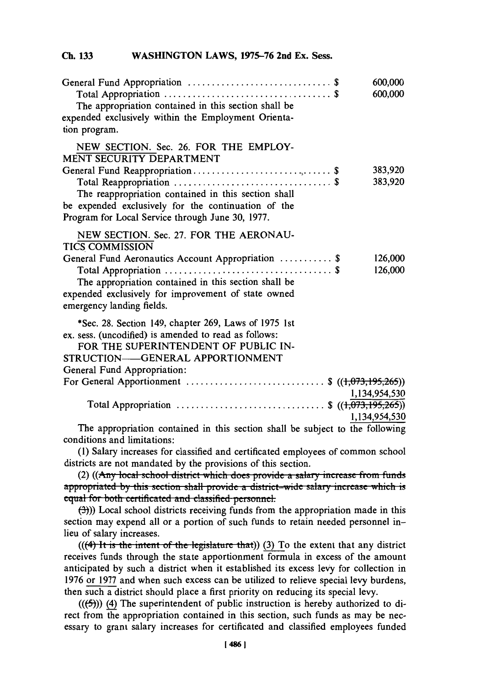| The appropriation contained in this section shall be<br>expended exclusively within the Employment Orienta-<br>tion program.                                   |               | 600,000<br>600,000 |
|----------------------------------------------------------------------------------------------------------------------------------------------------------------|---------------|--------------------|
| NEW SECTION. Sec. 26. FOR THE EMPLOY-<br><b>MENT SECURITY DEPARTMENT</b>                                                                                       |               |                    |
|                                                                                                                                                                |               | 383,920            |
| The reappropriation contained in this section shall<br>be expended exclusively for the continuation of the<br>Program for Local Service through June 30, 1977. |               | 383,920            |
| NEW SECTION. Sec. 27. FOR THE AERONAU-<br><b>TICS COMMISSION</b>                                                                                               |               |                    |
| General Fund Aeronautics Account Appropriation  \$                                                                                                             |               | 126,000            |
| The appropriation contained in this section shall be<br>expended exclusively for improvement of state owned<br>emergency landing fields.                       |               | 126,000            |
| *Sec. 28. Section 149, chapter 269, Laws of 1975 1st<br>ex. sess. (uncodified) is amended to read as follows:                                                  |               |                    |
| FOR THE SUPERINTENDENT OF PUBLIC IN-                                                                                                                           |               |                    |
| STRUCTION—GENERAL APPORTIONMENT                                                                                                                                |               |                    |
| General Fund Appropriation:<br>For General Apportionment \$ $((1,073,195,265))$                                                                                |               |                    |
|                                                                                                                                                                | 1,134,954,530 |                    |
| Total Appropriation \$ $((1,073,195,265))$                                                                                                                     |               |                    |
|                                                                                                                                                                | 1,134,954,530 |                    |
| The appropriation contained in this section shall be subject to the following                                                                                  |               |                    |

I he appropriation contained in this section shall be subject to the following conditions and limitations:

**(1)** Salary increases for classified and certificated employees of common school districts are not mandated **by** the provisions of this section.

(2) ((Any local school district which does provide a salary increase from funds appropriated by this section shall provide a district-wide salary increase which is equal for both certificated and classified personnel.

**(3)))** Local school districts receiving funds from the appropriation made in this section may expend all or a portion of such funds to retain needed personnel inlieu of salary increases.

 $(((4)$  It is the intent of the legislature that)) (3) To the extent that any district receives funds through the state apportionment formula in excess of the amount anticipated **by** such a district when it established its excess levy for collection in **1976** or **1977** and when such excess can be utilized to relieve special levy burdens, then such a district should place a first priority on reducing its special levy.

 $((\langle f \rangle)(4)$  The superintendent of public instruction is hereby authorized to direct from he appropriation contained in this section, such funds as may be necessary to grant salary increases for certificated and classified employees funded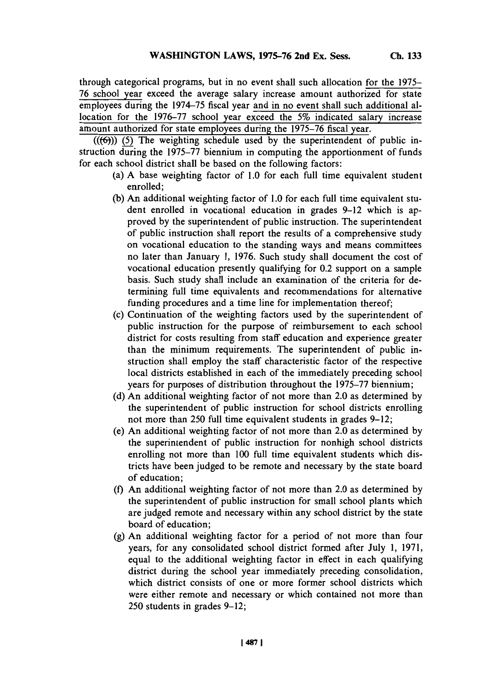through categorical programs, but in no event shall such allocation for the **1975- 76** school year exceed the average salary increase amount authorized for state employees during the *1974-75* fiscal year and in no event shall such additional allocation for the **1976-77** school year exceed the *5%* indicated salary increase amount authorized for state employees during the **1975-76** fiscal year.

**(((6))) (5)** The weighting schedule used **by** the superintendent of public instruction during the **1975-77** biennium in computing the apportionment of funds for each school district shall be based on the following factors:

- (a) **A** base weighting factor of **1.0** for each full time equivalent student enrolled;
- **(b)** An additional weighting factor of **1.0** for each full time equivalent student enrolled in vocational education in grades **9-12** which is approved **by** the superintendent of public instruction. The superintendent of public instruction shall report the results of a comprehensive study on vocational education to the standing ways and means committees no later than January **1, 1976.** Such study shall document the cost of vocational education presently qualifying for 0.2 support on a sample basis. Such study shall include an examination of the criteria for determining full time equivalents and recommendations for alternative funding procedures and a time line for implementation thereof;
- (c) Continuation of the weighting factors used **by** the superintendent of public instruction for the purpose of reimbursement to each school district for costs resulting from staff education and experience greater than the minimum requirements. The superintendent of public instruction shall employ the staff characteristic factor of the respective local districts established in each of the immediately preceding school years for purposes of distribution throughout the **1975-77** biennium;
- **(d)** An additional weighting factor of not more than 2.0 as determined **by** the superintendent of public instruction for school districts enrolling not more than **250** full time equivalent students in grades **9-12;**
- (e) An additional weighting factor of not more than 2.0 as determined **by** the superintendent of public instruction for nonhigh school districts enrolling not more than **100** full time equivalent students which districts have been judged to be remote and necessary **by** the state board of education;
- **(f)** An additional weighting factor of not more than 2.0 as determined **by** the superintendent of public instruction for small school plants which are judged remote and necessary within any school district **by** the state board of education;
- **(g)** An additional weighting factor for a period of not more than four years, for any consolidated school district formed after July **1, 1971,** equal to the additional weighting factor in effect in each qualifying district during the school year immediately preceding consolidation, which district consists of one or more former school districts which were either remote and necessary or which contained not more than **250** students in grades **9-12;**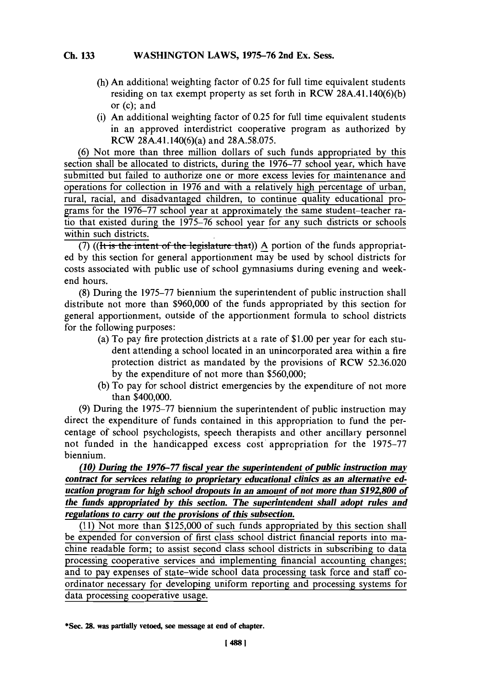- (h) An additional weighting factor of **0.25** for full time equivalent students residing on tax exempt property as set forth in RCW 28A.41.140(6)(b) or **(c);** and
- (i) An additional weighting factor of **0.25** for full time equivalent students in an approved interdistrict cooperative program as authorized **by** RCW 28A.4 1. 140(6)(a) and **28A.58.075.**

**(6)** Not more than three million dollars of such funds appropriated **by** this section shall be allocated to districts, during the **1976-77** school year, which have submitted but failed to authorize one or more excess levies for maintenance and operations for collection in **1976** and with a relatively high percentage of urban, rural, racial, and disadvantaged children, to continue quality educational programs for the **1976-77** school year at approximately the same student-teacher ratio that existed during the **1975-76** school year for any such districts or schools within such districts.

 $(7)$  ((It is the intent of the legislature that)) A portion of the funds appropriated **by** this section for general apportionment may be used **by** school districts for costs associated with public use of school gymnasiums during evening and weekend hours.

**(8)** During the **1975-77** biennium the superintendent of public instruction shall distribute not more than **\$960,000** of the funds appropriated **by** this section for general apportionment, outside of the apportionment formula to school districts for the following purposes:

- (a) To pay fire protection districts at a rate of **\$ 1.00** per year for each student attending a school located in an unincorporated area within a fire protection district as mandated **by** the provisions of RCW **52.36.020 by** the expenditure of not more than **\$560,000;**
- **(b)** To pay for school district emergencies **by** the expenditure of not more than \$400,000.

**(9)** During the **1975-77** biennium the superintendent of public instruction may direct the expenditure of funds contained in this appropriation to fund the percentage of school psychologists, speech therapists and other ancillary personnel not funded in the handicapped excess cost' appropriation for the **1975-77** biennium.

*(10) During the 1976-77 fiscal year the superintendent of public instruction ma contract for services relating to proprietary educational clinics as an alternative education program for high school dropouts in an amount of not more than \$192, 800 of the funds appropriated by this section. The superintendent shall adopt rules and regulations to carry out the provisions of this subsection.*

**(11)** Not more than **\$125,000** of such funds appropriated **by** this section shall be expended for conversion of first class school district financial reports into machine readable form; to assist second class school districts in subscribing to data processing cooperative services and implementing financial accounting changes; and to pay expenses of state-wide school data processing task force and staff coordinator necessary for developing uniform reporting and processing systems for data processing cooperative usage.

\*Sc **28. was partially vetoed, see message at end of chapter.**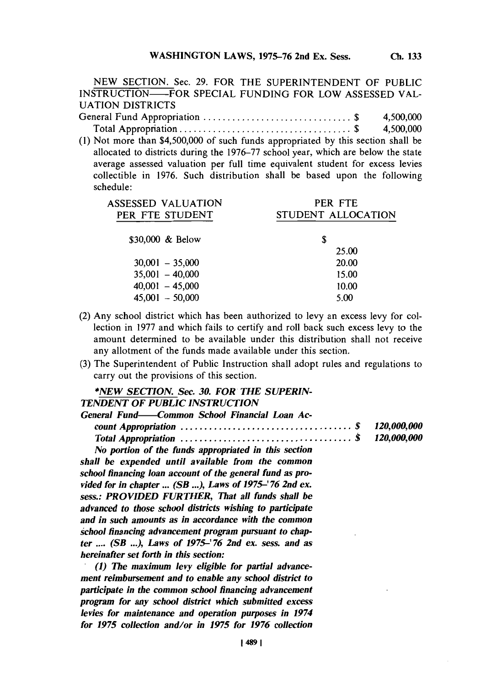**NEW SECTION.** Sec. **29.** FOR THE **SUPERINTENDENT** OF **PUBLIC INSTRUCTION-FOR SPECIAL FUNDING** FOR LOW **ASSESSED** VAL-**UATION** DISTRICTS

General Fund **Appropriation............................. \$** 4,500,000 Total Appropriation **................................. \$** 4,500,000 **(1)** Not more than \$4,500,000 of such funds appropriated **by** this section shall be allocated to districts during the **1976-77** school year, which are below the state average assessed valuation per full time equivalent student for excess levies collectible in **1976.** Such distribution shall be based upon the following

schedule: **ASSESSED VALUATION** PER **FTE** PER FTE STUDENT STUDENT ALLOCATION **\$30,000 &** Below **\$ 25.00 30,001 - 35,000** 20.00 **35,001** - 40,000 *15.00*

(2) Any school district which has been authorized to levy an excess levy for collection in **1977** and which fails to certify and roll back such excess levy to the amount determined to be available under this distribution shall not receive any allotment of the funds made available under this section.

40,001 *-45,000* **10.00** 45,001 **- 50,000 5.00**

**(3)** The Superintendent of Public Instruction shall adopt rules and regulations to carry out the provisions of this section.

# *\*NEW SECTION. Sec. 30. FOR THE SUPERIN*

| General Fund——Common School Financial Loan Ac- |  |
|------------------------------------------------|--|
|                                                |  |
|                                                |  |
| .                                              |  |

*No portion of the funds appropriated in this section shall be expended until available from the common school financing loan account of the general fund as provided for in chapter* **...** *(SB* **... ),** *Laws of 1975-' 76 2nd ex. sess.: PROVIDED FURTHER, That all funds shall be advanced to those school districts wishing to participate and in such amounts as in accordance with the common school financing advancement program pursuant to chapter* **....** *(SB* **... ),** *Laws of 1975-'76 2nd ex. sess. and as hereinafter set forth in this section:*

*.(1) The maximum levy eligible for partial advancement reimbursement and to enable any school district to participate in the common school financing advancement program for any school district which submitted excess levies for maintenance and operation purposes in 1974 for 1975 collection and/or in 1975 for 1976 collection*

*TENDENT OF PUBLIC INSTRUCTION*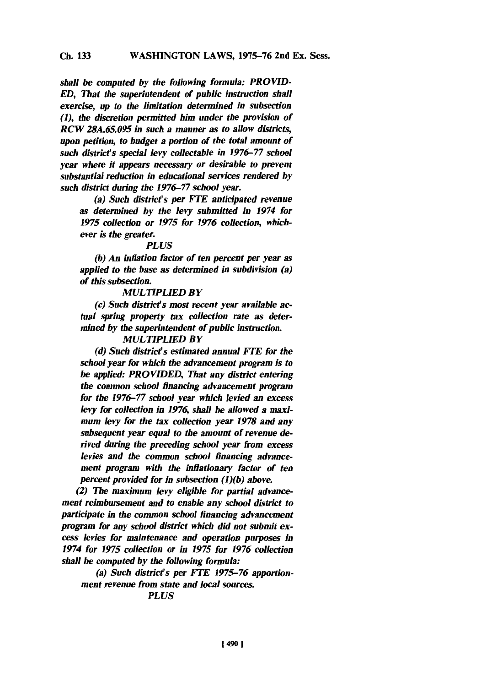*shall be computed by the following formula: PROVID-ED, That the superintendent of public instruction shall exercise, up to the limitation determined in subsection (I), the discretion permitted him under the provision of RCW 28A.65.095 in such a manner as to allow districts, upon petition, to budget a portion of the total amount of such disticts special levy collectable in 1976-77 school year where it appears necessary or desirable to prevent substantial reduction in educational services rendered by such district during the 1976-77 school year.*

*(a) Such district's per FTE anticipated revenue as determined by the levy submitted in 1974 for 1975 collection or 1975 for 1976 collection, whichever is the greater.*

### *PLUS*

*(b) An inflation factor of ten percent per year as applied to the base as determined in subdivision (a) of this subsection.*

### *MULTIPLIED BY*

*(c) Such district's most recent year avallable actual spring property tax collection rate as determined by the superintendent of public instruction.*

# *MULTIPLIED BY*

*(d) Such district's estimated annual F'IE for the school year for which the advancement program is to be applied: PROVIDED, That any district entering the common school financing advancement program for the 1976-77 school year which levied an excess levy for collection in 1976, shall be allowed a maximum levy for the tax collection year 1978 and any subsequent year equal to the amount of revenue derived during the preceding school year from excess levies and the common school financing advancement program with the inflationary factor of ten percent provided for in subsection (1)(b) above.*

*(2) The maximum levy eligible for partial advancement reimbursement and to enable any school district to participate in the common school financing advancement program for any school district which did not submit excess levies for maintenance and operation purposes in 1974 for 1975 collection or in 1975 for 1976 collection shall be computed by the following formula:*

*(a) Such district's per FTE 1975-76 apportionment revenue from state and local sources.*

# *PLUS*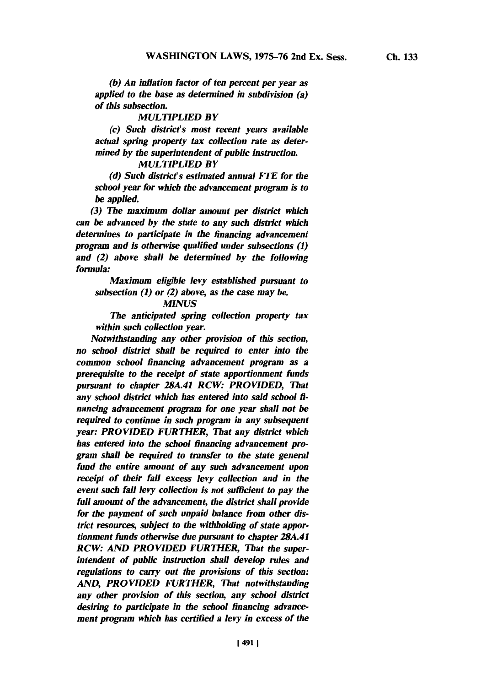*(b) An inflation factor of ten percent per year as applied to the base as determined in subdivision (a) of this subsection.*

### *MULTIPLIED BY*

*(c) Such district's most recent years available actual spring property tax collection rate as determined by the superintendent of public instruction.*

### *MULTIPLIED BY*

*(d) Such district's estimated annual KiTE for the school year for which the advancement program is to be applied*

*(3) The maximum dollar amount per district which can be advanced by the state to any such district which determines to participate in the financing advancement program and is otherwise qualified under subsections (1) and (2) above shall be determined by the following formula:*

*Maximum eligible levy established pursuant to subsection (1) or (2) above, as the case may be.*

# *MINUS*

*The anticipated spring collection property tax within such collection year.*

*Notwithstanding any other provision of this section, no school district shall be required to enter into the common school financing advancement program as a prerequisite to the receipt of state apportionment funds pursuant to chapter 28A.41 RCW: PROVIDED, That* any school district which has entered into said school fi*nancing advancement program for one year shall not be required to continue in such program in any subsequent year: PROVIDED FURTHER, That any district which has entered into the school financing advancement program shall be required to transfer to the state general* fund the entire amount of any such advancement upon *receipt of their fall excess levy collection and in the event such fall levy collection is not sufficient to pay the full amount of the advancement, the district shall provide for the payment of such unpaid balance from other distict resources, subject to the withholding of state apportionment funds otherwise due pursuant to chapter 28A.41 RCW: AND PROVIDED FURTHER, That the superintendent of public instruction shall develop rules and regulations to carry out the provisions of this section: AND, PROVIDED FURTHER, That notwithstanding any other provision of this section, any school district desiring to participate in the school financing advancement program which has certified a levy in excess of the*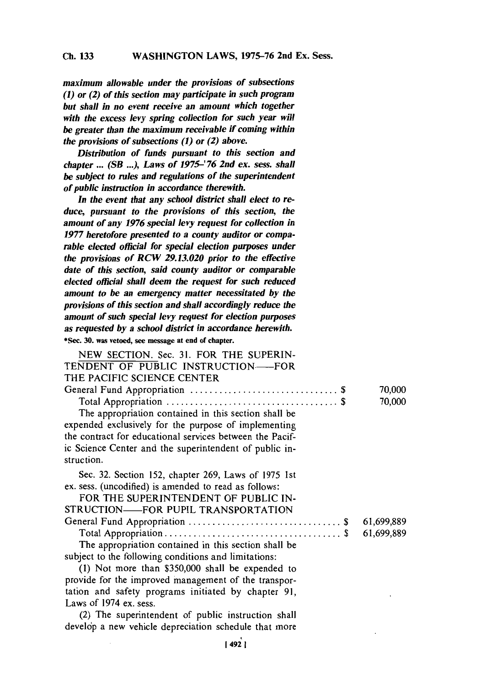**Ch. 133**

*maximum allowable under the provisions of subsections (1) or (2) of this section may participate in such program but shall in no event receive an amount which together with the excess levy spring collection for such year will be greater than the maximum receivable if coming within the provisions of subsections (1) or (2) above.*

*Distribution of funds pursuant to this section and chapter* **...** *(SB* **... ),** *Laws of 1975-' 76 2nd ex. sess. shall be subject to rules and regulations of the superintendent of public instruction in accordance therewith.*

*In the event that any school district shall elect to reduce, pursuant to the provisions of this section, the amount of any 1976 special levy request for collection in 1977 heretofore presented to a county auditor or comparable elected official for special election purposes under the provisions of RCW 29.13.020 prior to the effective date of this section, said county auditor or comparable elected official shall deem the request for such reduced amount to be an emergency matter necessitated by the provisions of this section and shall accordingly reduce the amount of such special levy request for election purposes as requested by a school district in accordance herewith.* \* Sec. **30. was vetoed, see message at end of chapter.**

| NEW SECTION. Sec. 31. FOR THE SUPERIN-                   |            |
|----------------------------------------------------------|------------|
| TENDENT OF PUBLIC INSTRUCTION—FOR                        |            |
| THE PACIFIC SCIENCE CENTER                               |            |
|                                                          | 70,000     |
|                                                          | 70,000     |
| The appropriation contained in this section shall be     |            |
| expended exclusively for the purpose of implementing     |            |
| the contract for educational services between the Pacif- |            |
| ic Science Center and the superintendent of public in-   |            |
| struction.                                               |            |
| Sec. 32. Section 152, chapter 269, Laws of 1975 1st      |            |
| ex. sess. (uncodified) is amended to read as follows:    |            |
| FOR THE SUPERINTENDENT OF PUBLIC IN-                     |            |
| STRUCTION—FOR PUPIL TRANSPORTATION                       |            |
|                                                          | 61,699,889 |
|                                                          | 61,699,889 |
| The appropriation contained in this section shall be     |            |
| subject to the following conditions and limitations:     |            |
| (1) Not more than \$350,000 shall be expended to         |            |
| provide for the improved management of the transpor-     |            |
| tation and safety programs initiated by chapter 91,      |            |
| Laws of 1974 ex. sess.                                   |            |
| (2) The superintendent of public instruction shall       |            |
| develop a new vehicle depreciation schedule that more    |            |
|                                                          |            |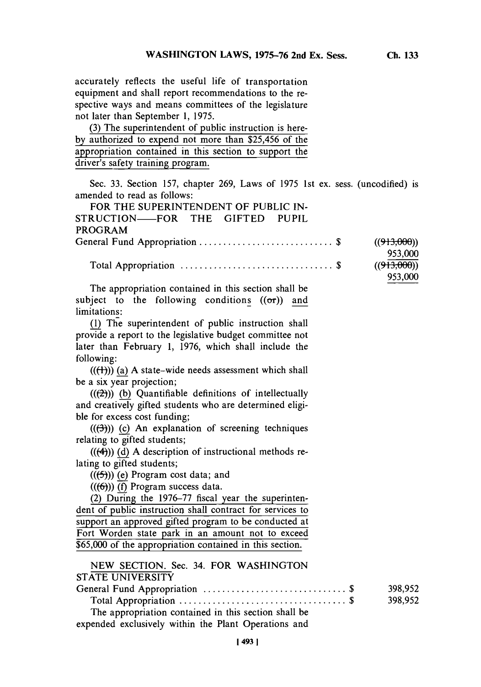accurately reflects the useful life of transportation equipment and shall report recommendations to the respective ways and means committees of the legislature not later than September **1,** *1975.*

**(3)** The superintendent of public instruction is here**by** authorized to expend not more than *\$25,456* of the appropriation contained in this section to support the driver's safety training program.

Sec. **33.** Section **157,** chapter **269,** Laws of **1975** 1st ex. sess. (uncodified) is amended to read as follows:

| FOR THE SUPERINTENDENT OF PUBLIC IN-                           |                        |
|----------------------------------------------------------------|------------------------|
| STRUCTION-FOR THE GIFTED PUPIL                                 |                        |
| <b>PROGRAM</b>                                                 |                        |
|                                                                | ((913,000))<br>953,000 |
|                                                                | ((913,000))<br>953,000 |
| The appropriation contained in this section shall be           |                        |
| subject to the following conditions $((\sigma r))$ and         |                        |
| limitations:                                                   |                        |
| (1) The superintendent of public instruction shall             |                        |
| provide a report to the legislative budget committee not       |                        |
| later than February 1, 1976, which shall include the           |                        |
| following:                                                     |                        |
| $((\text{(+)}))$ (a) A state-wide needs assessment which shall |                        |
| be a six year projection;                                      |                        |
| $((2))$ (b) Quantifiable definitions of intellectually         |                        |
| and creatively gifted students who are determined eligi-       |                        |
| ble for excess cost funding;                                   |                        |
| $((3))$ (c) An explanation of screening techniques             |                        |
| relating to gifted students;                                   |                        |
| $((4))$ (d) A description of instructional methods re-         |                        |
| lating to gifted students;                                     |                        |
| $((\left(\frac{5}{2}\right))$ (e) Program cost data; and       |                        |
| $((6))$ (f) Program success data.                              |                        |
| (2) During the 1976-77 fiscal year the superinten-             |                        |
| dent of public instruction shall contract for services to      |                        |
| support an approved gifted program to be conducted at          |                        |
| Fort Worden state park in an amount not to exceed              |                        |
| \$65,000 of the appropriation contained in this section.       |                        |
| NEW SECTION. Sec. 34. FOR WASHINGTON                           |                        |
| <b>STATE UNIVERSITY</b>                                        |                        |
|                                                                | 398,952                |
|                                                                | 398,952                |
| The appropriation contained in this section shall be           |                        |
| expended exclusively within the Plant Operations and           |                        |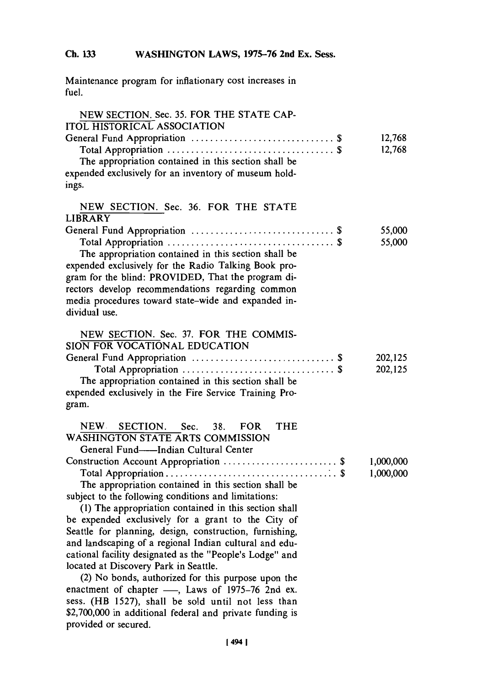Maintenance program for inflationary cost increases in fuel.

| NEW SECTION. Sec. 35. FOR THE STATE CAP-<br><b>ITOL HISTORICAL ASSOCIATION</b><br>The appropriation contained in this section shall be<br>expended exclusively for an inventory of museum hold-<br>ings.                                                                                                                                                                                                                                                                                                                                                                                                                                                                                                                                                                                                                                                                                       | 12,768<br>12,768       |
|------------------------------------------------------------------------------------------------------------------------------------------------------------------------------------------------------------------------------------------------------------------------------------------------------------------------------------------------------------------------------------------------------------------------------------------------------------------------------------------------------------------------------------------------------------------------------------------------------------------------------------------------------------------------------------------------------------------------------------------------------------------------------------------------------------------------------------------------------------------------------------------------|------------------------|
| NEW SECTION. Sec. 36. FOR THE STATE<br><b>LIBRARY</b><br>The appropriation contained in this section shall be<br>expended exclusively for the Radio Talking Book pro-<br>gram for the blind: PROVIDED, That the program di-<br>rectors develop recommendations regarding common<br>media procedures toward state-wide and expanded in-<br>dividual use.                                                                                                                                                                                                                                                                                                                                                                                                                                                                                                                                        | 55,000<br>55,000       |
| NEW SECTION. Sec. 37. FOR THE COMMIS-<br>SION FOR VOCATIONAL EDUCATION<br>The appropriation contained in this section shall be<br>expended exclusively in the Fire Service Training Pro-<br>gram.                                                                                                                                                                                                                                                                                                                                                                                                                                                                                                                                                                                                                                                                                              | 202,125<br>202,125     |
| SECTION.<br>NEW.<br>Sec.<br>38.<br><b>FOR</b><br><b>THE</b><br>WASHINGTON STATE ARTS COMMISSION<br>General Fund---Indian Cultural Center<br>Construction Account Appropriation  \$<br>The appropriation contained in this section shall be<br>subject to the following conditions and limitations:<br>(1) The appropriation contained in this section shall<br>be expended exclusively for a grant to the City of<br>Seattle for planning, design, construction, furnishing,<br>and landscaping of a regional Indian cultural and edu-<br>cational facility designated as the "People's Lodge" and<br>located at Discovery Park in Seattle.<br>(2) No bonds, authorized for this purpose upon the<br>enactment of chapter -, Laws of 1975-76 2nd ex.<br>sess. (HB 1527), shall be sold until not less than<br>\$2,700,000 in additional federal and private funding is<br>provided or secured. | 1,000,000<br>1,000,000 |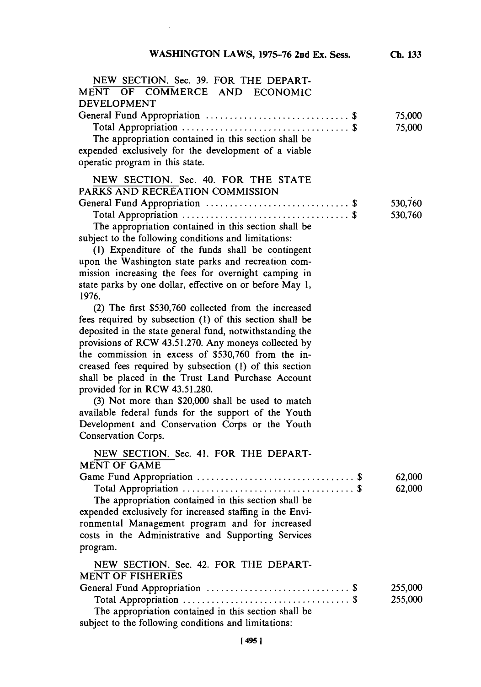$\hat{\mathcal{A}}$ 

| NEW SECTION. Sec. 39. FOR THE DEPART-<br>MENT OF COMMERCE AND ECONOMIC<br>DEVELOPMENT                                                                                                                                                                                                                                                                                                                                                                                                                                                                                                                                                |                    |
|--------------------------------------------------------------------------------------------------------------------------------------------------------------------------------------------------------------------------------------------------------------------------------------------------------------------------------------------------------------------------------------------------------------------------------------------------------------------------------------------------------------------------------------------------------------------------------------------------------------------------------------|--------------------|
| The appropriation contained in this section shall be<br>expended exclusively for the development of a viable<br>operatic program in this state.                                                                                                                                                                                                                                                                                                                                                                                                                                                                                      | 75,000<br>75,000   |
| NEW SECTION. Sec. 40. FOR THE STATE<br>PARKS AND RECREATION COMMISSION                                                                                                                                                                                                                                                                                                                                                                                                                                                                                                                                                               |                    |
| The appropriation contained in this section shall be<br>subject to the following conditions and limitations:<br>(1) Expenditure of the funds shall be contingent<br>upon the Washington state parks and recreation com-<br>mission increasing the fees for overnight camping in<br>state parks by one dollar, effective on or before May 1,<br>1976.                                                                                                                                                                                                                                                                                 | 530,760<br>530,760 |
| (2) The first \$530,760 collected from the increased<br>fees required by subsection (1) of this section shall be<br>deposited in the state general fund, notwithstanding the<br>provisions of RCW 43.51.270. Any moneys collected by<br>the commission in excess of \$530,760 from the in-<br>creased fees required by subsection (1) of this section<br>shall be placed in the Trust Land Purchase Account<br>provided for in RCW 43.51.280.<br>(3) Not more than \$20,000 shall be used to match<br>available federal funds for the support of the Youth<br>Development and Conservation Corps or the Youth<br>Conservation Corps. |                    |
| NEW SECTION. Sec. 41. FOR THE DEPART-<br><b>MENT OF GAME</b><br>The appropriation contained in this section shall be<br>expended exclusively for increased staffing in the Envi-<br>ronmental Management program and for increased<br>costs in the Administrative and Supporting Services<br>program.                                                                                                                                                                                                                                                                                                                                | 62,000<br>62,000   |
| NEW SECTION. Sec. 42. FOR THE DEPART-<br><b>MENT OF FISHERIES</b><br>The appropriation contained in this section shall be                                                                                                                                                                                                                                                                                                                                                                                                                                                                                                            | 255,000<br>255,000 |

subject to the following conditions and limitations: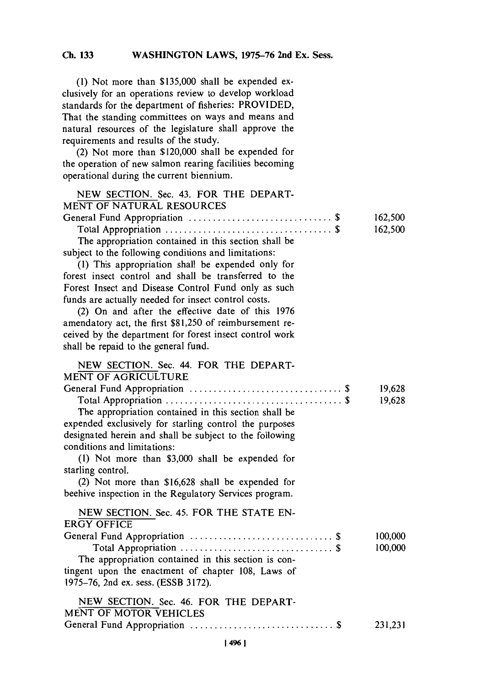**(1)** Not more than **\$135,000** shall be expended exclusively for an operations review to develop workload standards for the department of fisheries: PROVIDED, That the standing committees on ways and means and natural resources of the legislature shall approve the requirements and results of the study.

(2) Not more than \$120,000 shall be expended for the operation of new salmon rearing facilities becoming operational during the current biennium.

| NEW SECTION. Sec. 43. FOR THE DEPART-<br><b>MENT OF NATURAL RESOURCES</b>                                                                                                                                                                                                                                                                                                                    |                    |
|----------------------------------------------------------------------------------------------------------------------------------------------------------------------------------------------------------------------------------------------------------------------------------------------------------------------------------------------------------------------------------------------|--------------------|
| The appropriation contained in this section shall be<br>subject to the following conditions and limitations:<br>(1) This appropriation shall be expended only for<br>forest insect control and shall be transferred to the<br>Forest Insect and Disease Control Fund only as such<br>funds are actually needed for insect control costs.<br>(2) On and after the effective date of this 1976 | 162,500<br>162,500 |
| amendatory act, the first \$81,250 of reimbursement re-<br>ceived by the department for forest insect control work<br>shall be repaid to the general fund.                                                                                                                                                                                                                                   |                    |
| NEW SECTION. Sec. 44. FOR THE DEPART-<br><b>MENT OF AGRICULTURE</b>                                                                                                                                                                                                                                                                                                                          |                    |
| The appropriation contained in this section shall be<br>expended exclusively for starling control the purposes<br>designated herein and shall be subject to the following<br>conditions and limitations:                                                                                                                                                                                     | 19,628<br>19,628   |
| (1) Not more than \$3,000 shall be expended for<br>starling control.<br>(2) Not more than \$16,628 shall be expended for<br>beehive inspection in the Regulatory Services program.                                                                                                                                                                                                           |                    |
| NEW SECTION. Sec. 45. FOR THE STATE EN-<br><b>ERGY OFFICE</b><br>The appropriation contained in this section is con-<br>tingent upon the enactment of chapter 108, Laws of<br>1975-76, 2nd ex. sess. (ESSB 3172).                                                                                                                                                                            | 100,000<br>100,000 |
| NEW SECTION. Sec. 46. FOR THE DEPART-<br><b>MENT OF MOTOR VEHICLES</b>                                                                                                                                                                                                                                                                                                                       | 231,231            |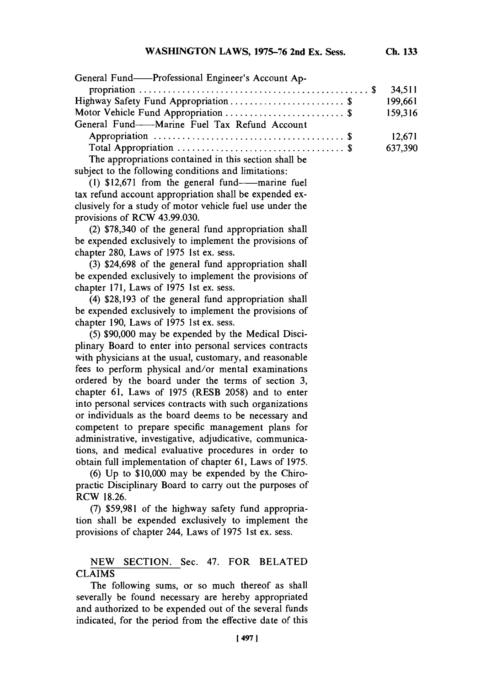| General Fund-Professional Engineer's Account Ap-      |         |
|-------------------------------------------------------|---------|
|                                                       | 34,511  |
| Highway Safety Fund Appropriation \$                  | 199,661 |
| Motor Vehicle Fund Appropriation \$                   | 159,316 |
| General Fund-----Marine Fuel Tax Refund Account       |         |
|                                                       | 12,671  |
|                                                       | 637,390 |
| The appropriations contained in this section shall be |         |

subject to the following conditions and limitations:

**(1) \$12,671** from the general fund-marine fuel tax refund account appropriation shall be expended exclusively for a study of motor vehicle fuel use under the provisions of RCW 43.99.030.

(2) **\$78,340** of the general fund appropriation shall be expended exclusively to implement the provisions of chapter 280, Laws of 1975 1st ex. sess.

**(3) \$24,698** of the general fund appropriation shall be expended exclusively to implement the provisions of chapter **171,** Laws of **1975** 1st ex. sess.

(4) **\$28,193** of the general fund appropriation shall be expended exclusively to implement the provisions of chapter **190,** Laws of **1975** 1st ex. sess.

*(5)* **\$90,000** may be expended **by** the Medical Disciplinary Board to enter into personal services contracts with physicians at the usual, customary, and reasonable fees to perform physical and/or mental examinations ordered **by** the board under the terms of section **3,** chapter **61,** Laws of **1975** (RESB **2058)** and to enter into personal services contracts with such organizations or individuals as the board deems to be necessary and competent to prepare specific management plans for administrative, investigative, adjudicative, communications, and medical evaluative procedures in order to obtain full implementation of chapter **61,** Laws of **1975.**

**(6) Up** to **\$10,000** may be expended **by** the Chiropractic Disciplinary Board to carry out the purposes of RCW **18.26.**

**(7) \$59,981** of the highway safety fund appropriation shall be expended exclusively to implement the provisions of chapter 244, Laws of **1975** 1st ex. sess.

# NEW SECTION. Sec. 47. FOR **BELATED CLAIMS**

The following sums, or so much thereof as shall severally be found necessary are hereby appropriated and authorized to be expended out of the several funds indicated, for the period from the effective date of this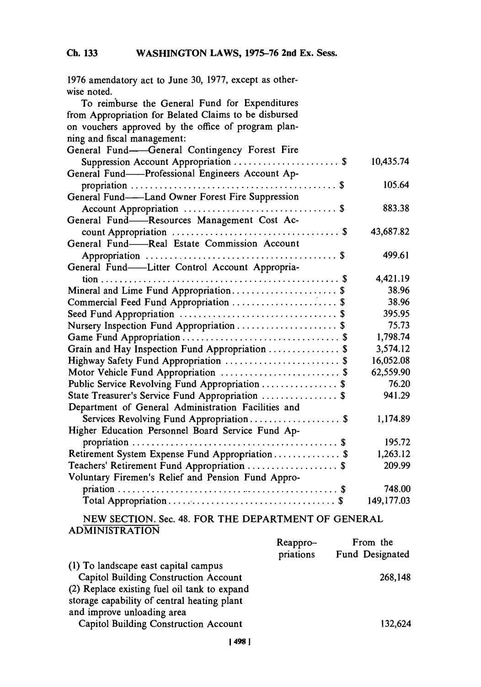| 1976 amendatory act to June 30, 1977, except as other- |            |
|--------------------------------------------------------|------------|
| wise noted.                                            |            |
| To reimburse the General Fund for Expenditures         |            |
| from Appropriation for Belated Claims to be disbursed  |            |
| on vouchers approved by the office of program plan-    |            |
| ning and fiscal management:                            |            |
| General Fund-General Contingency Forest Fire           |            |
|                                                        | 10,435.74  |
| General Fund——Professional Engineers Account Ap-       |            |
|                                                        | 105.64     |
| General Fund-Land Owner Forest Fire Suppression        |            |
|                                                        | 883.38     |
| General Fund-Resources Management Cost Ac-             |            |
|                                                        | 43,687.82  |
| General Fund-Real Estate Commission Account            |            |
|                                                        | 499.61     |
| General Fund-Litter Control Account Appropria-         |            |
|                                                        | 4,421.19   |
| Mineral and Lime Fund Appropriation \$                 | 38.96      |
| Commercial Feed Fund Appropriation  \$                 | 38.96      |
|                                                        | 395.95     |
| Nursery Inspection Fund Appropriation  \$              | 75.73      |
|                                                        | 1,798.74   |
| Grain and Hay Inspection Fund Appropriation  \$        | 3,574.12   |
|                                                        | 16,052.08  |
| Motor Vehicle Fund Appropriation  \$                   | 62,559.90  |
| Public Service Revolving Fund Appropriation  \$        | 76.20      |
| State Treasurer's Service Fund Appropriation  \$       | 941.29     |
| Department of General Administration Facilities and    |            |
| Services Revolving Fund Appropriation \$               | 1,174.89   |
| Higher Education Personnel Board Service Fund Ap-      |            |
|                                                        | 195.72     |
| Retirement System Expense Fund Appropriation \$        | 1,263.12   |
| Teachers' Retirement Fund Appropriation  \$            | 209.99     |
| Voluntary Firemen's Relief and Pension Fund Appro-     |            |
|                                                        | 748.00     |
|                                                        | 149,177.03 |
|                                                        |            |

**NEW** SECTION. Sec. 48. FOR THE DEPARTMENT OF **GENERAL ADMINISTRATION**

|                                              | Reappro-  | From the        |
|----------------------------------------------|-----------|-----------------|
|                                              | priations | Fund Designated |
| (1) To landscape east capital campus         |           |                 |
| <b>Capitol Building Construction Account</b> |           | 268,148         |
| (2) Replace existing fuel oil tank to expand |           |                 |
| storage capability of central heating plant  |           |                 |
| and improve unloading area                   |           |                 |
| <b>Capitol Building Construction Account</b> |           | 132.624         |
|                                              |           |                 |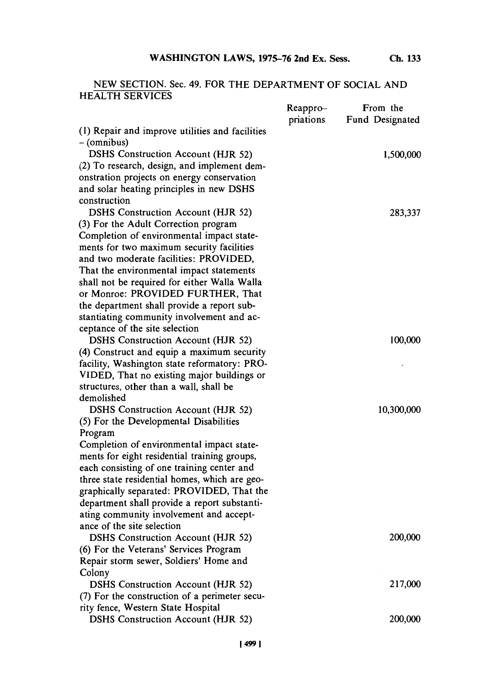# **NEW SECTION.** Sec. 49. FOR THE DEPARTMENT OF **SOCIAL AND** HEALTH **SERVICES**

|                                                 | Reappro-  | From the        |
|-------------------------------------------------|-----------|-----------------|
|                                                 | priations | Fund Designated |
| (1) Repair and improve utilities and facilities |           |                 |
| – (omnibus)                                     |           |                 |
| DSHS Construction Account (HJR 52)              |           | 1,500,000       |
| (2) To research, design, and implement dem-     |           |                 |
| onstration projects on energy conservation      |           |                 |
| and solar heating principles in new DSHS        |           |                 |
| construction                                    |           |                 |
| <b>DSHS Construction Account (HJR 52)</b>       |           | 283,337         |
| (3) For the Adult Correction program            |           |                 |
| Completion of environmental impact state-       |           |                 |
| ments for two maximum security facilities       |           |                 |
| and two moderate facilities: PROVIDED,          |           |                 |
| That the environmental impact statements        |           |                 |
| shall not be required for either Walla Walla    |           |                 |
| or Monroe: PROVIDED FURTHER, That               |           |                 |
| the department shall provide a report sub-      |           |                 |
| stantiating community involvement and ac-       |           |                 |
| ceptance of the site selection                  |           |                 |
| <b>DSHS</b> Construction Account (HJR 52)       |           | 100,000         |
| (4) Construct and equip a maximum security      |           |                 |
| facility, Washington state reformatory: PRO-    |           |                 |
| VIDED, That no existing major buildings or      |           |                 |
| structures, other than a wall, shall be         |           |                 |
| demolished                                      |           |                 |
| <b>DSHS Construction Account (HJR 52)</b>       |           | 10,300,000      |
| (5) For the Developmental Disabilities          |           |                 |
| Program                                         |           |                 |
| Completion of environmental impact state-       |           |                 |
| ments for eight residential training groups,    |           |                 |
| each consisting of one training center and      |           |                 |
| three state residential homes, which are geo-   |           |                 |
| graphically separated: PROVIDED, That the       |           |                 |
| department shall provide a report substanti-    |           |                 |
| ating community involvement and accept-         |           |                 |
| ance of the site selection                      |           |                 |
| DSHS Construction Account (HJR 52)              |           | 200,000         |
| (6) For the Veterans' Services Program          |           |                 |
| Repair storm sewer, Soldiers' Home and          |           |                 |
| Colony                                          |           |                 |
| <b>DSHS Construction Account (HJR 52)</b>       |           | 217,000         |
| (7) For the construction of a perimeter secu-   |           |                 |
| rity fence, Western State Hospital              |           |                 |
| <b>DSHS Construction Account (HJR 52)</b>       |           | 200,000         |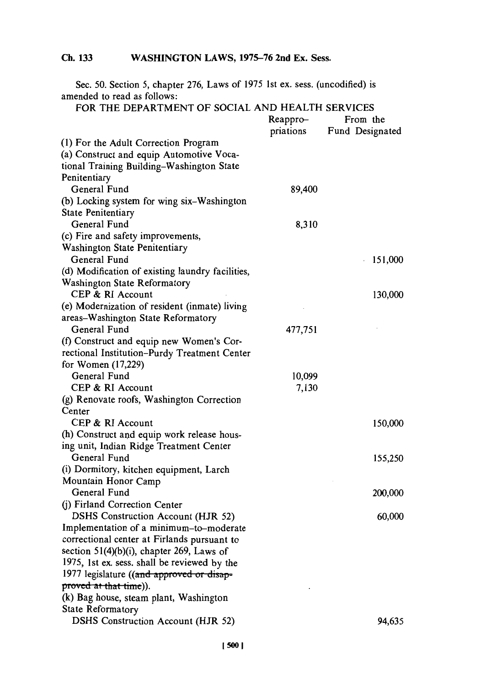Sec. *50.* Section **5,** chapter **276,** Laws of **1975** 1st ex. sess. (uncodified) is amended to read as follows:

| FOR THE DEPARTMENT OF SOCIAL AND HEALTH SERVICES                                      |           |                 |
|---------------------------------------------------------------------------------------|-----------|-----------------|
|                                                                                       | Reappro-  | From the        |
|                                                                                       | priations | Fund Designated |
| (1) For the Adult Correction Program                                                  |           |                 |
| (a) Construct and equip Automotive Voca-                                              |           |                 |
| tional Training Building-Washington State                                             |           |                 |
| Penitentiary                                                                          |           |                 |
| General Fund                                                                          | 89,400    |                 |
| (b) Locking system for wing six-Washington                                            |           |                 |
| State Penitentiary                                                                    |           |                 |
| General Fund                                                                          | 8,310     |                 |
| (c) Fire and safety improvements,                                                     |           |                 |
| Washington State Penitentiary                                                         |           |                 |
| General Fund                                                                          |           | 151,000         |
| (d) Modification of existing laundry facilities,                                      |           |                 |
| Washington State Reformatory                                                          |           |                 |
| CEP & RI Account                                                                      |           | 130,000         |
| (e) Modernization of resident (inmate) living                                         |           |                 |
| areas-Washington State Reformatory                                                    |           |                 |
| General Fund                                                                          | 477,751   |                 |
| (f) Construct and equip new Women's Cor-                                              |           |                 |
|                                                                                       |           |                 |
| rectional Institution-Purdy Treatment Center<br>for Women (17,229)                    |           |                 |
| General Fund                                                                          | 10,099    |                 |
| CEP & RI Account                                                                      | 7,130     |                 |
|                                                                                       |           |                 |
| (g) Renovate roofs, Washington Correction<br>Center                                   |           |                 |
| CEP & RI Account                                                                      |           |                 |
|                                                                                       |           | 150,000         |
| (h) Construct and equip work release hous-<br>ing unit, Indian Ridge Treatment Center |           |                 |
| General Fund                                                                          |           |                 |
|                                                                                       |           | 155,250         |
| (i) Dormitory, kitchen equipment, Larch                                               |           |                 |
| Mountain Honor Camp<br>General Fund                                                   |           |                 |
|                                                                                       |           | 200,000         |
| (j) Firland Correction Center                                                         |           |                 |
| DSHS Construction Account (HJR 52)                                                    |           | 60,000          |
| Implementation of a minimum-to-moderate                                               |           |                 |
| correctional center at Firlands pursuant to                                           |           |                 |
| section 51(4)(b)(i), chapter 269, Laws of                                             |           |                 |
| 1975, 1st ex. sess. shall be reviewed by the                                          |           |                 |
| 1977 legislature ((and approved or disap-                                             |           |                 |
| proved at that time)).                                                                |           |                 |
| (k) Bag house, steam plant, Washington                                                |           |                 |
| <b>State Reformatory</b>                                                              |           |                 |
| DSHS Construction Account (HJR 52)                                                    |           | 94,635          |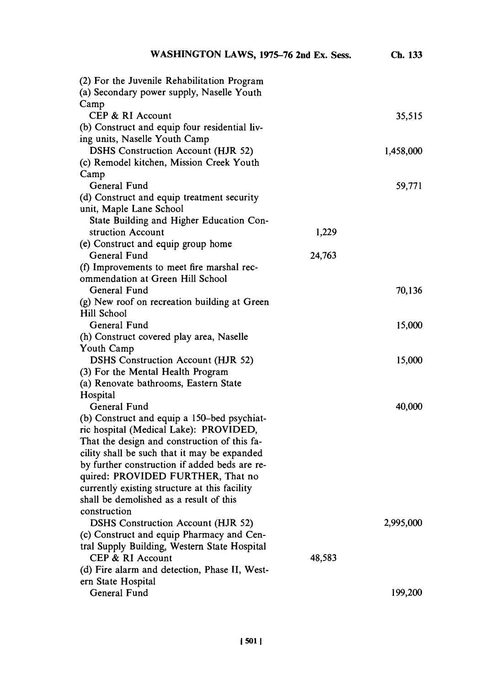| (2) For the Juvenile Rehabilitation Program                                    |        |           |
|--------------------------------------------------------------------------------|--------|-----------|
| (a) Secondary power supply, Naselle Youth                                      |        |           |
| Camp<br>CEP & RI Account                                                       |        | 35,515    |
| (b) Construct and equip four residential liv-                                  |        |           |
| ing units, Naselle Youth Camp                                                  |        |           |
| <b>DSHS</b> Construction Account (HJR 52)                                      |        | 1,458,000 |
| (c) Remodel kitchen, Mission Creek Youth                                       |        |           |
| Camp                                                                           |        |           |
| General Fund                                                                   |        | 59,771    |
| (d) Construct and equip treatment security                                     |        |           |
| unit, Maple Lane School                                                        |        |           |
| State Building and Higher Education Con-                                       |        |           |
| struction Account                                                              | 1,229  |           |
| (e) Construct and equip group home                                             |        |           |
| General Fund                                                                   | 24,763 |           |
| (f) Improvements to meet fire marshal rec-<br>ommendation at Green Hill School |        |           |
| General Fund                                                                   |        | 70,136    |
| (g) New roof on recreation building at Green                                   |        |           |
| Hill School                                                                    |        |           |
| General Fund                                                                   |        | 15,000    |
| (h) Construct covered play area, Naselle                                       |        |           |
| Youth Camp                                                                     |        |           |
| <b>DSHS Construction Account (HJR 52)</b>                                      |        | 15,000    |
| (3) For the Mental Health Program                                              |        |           |
| (a) Renovate bathrooms, Eastern State                                          |        |           |
| Hospital                                                                       |        |           |
| General Fund                                                                   |        | 40,000    |
| (b) Construct and equip a 150-bed psychiat-                                    |        |           |
| ric hospital (Medical Lake): PROVIDED,                                         |        |           |
| That the design and construction of this fa-                                   |        |           |
| cility shall be such that it may be expanded                                   |        |           |
| by further construction if added beds are re-                                  |        |           |
| quired: PROVIDED FURTHER, That no                                              |        |           |
| currently existing structure at this facility                                  |        |           |
| shall be demolished as a result of this<br>construction                        |        |           |
| <b>DSHS Construction Account (HJR 52)</b>                                      |        | 2,995,000 |
| (c) Construct and equip Pharmacy and Cen-                                      |        |           |
| tral Supply Building, Western State Hospital                                   |        |           |
| CEP & RI Account                                                               | 48,583 |           |
| (d) Fire alarm and detection, Phase II, West-                                  |        |           |
| ern State Hospital                                                             |        |           |
| General Fund                                                                   |        | 199,200   |
|                                                                                |        |           |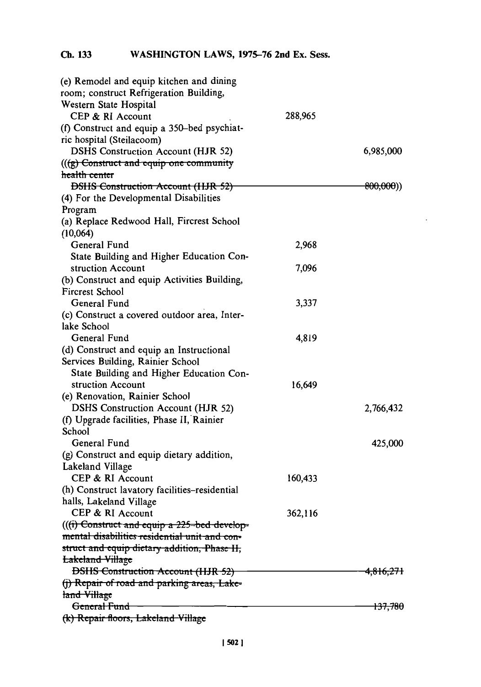| (e) Remodel and equip kitchen and dining      |         |                       |
|-----------------------------------------------|---------|-----------------------|
| room; construct Refrigeration Building,       |         |                       |
| Western State Hospital                        |         |                       |
| CEP & RI Account                              | 288,965 |                       |
| (f) Construct and equip a 350–bed psychiat-   |         |                       |
| ric hospital (Steilacoom)                     |         |                       |
| <b>DSHS Construction Account (HJR 52)</b>     |         | 6,985,000             |
| (((g) Construct and equip one community       |         |                       |
| health center                                 |         |                       |
| <b>DSHS Construction Account (HJR 52)</b>     |         | <del>800,000</del> )) |
| (4) For the Developmental Disabilities        |         |                       |
| Program                                       |         |                       |
| (a) Replace Redwood Hall, Fircrest School     |         |                       |
| (10,064)                                      |         |                       |
| General Fund                                  | 2,968   |                       |
| State Building and Higher Education Con-      |         |                       |
| struction Account                             | 7,096   |                       |
| (b) Construct and equip Activities Building,  |         |                       |
| Fircrest School                               |         |                       |
| General Fund                                  | 3,337   |                       |
| (c) Construct a covered outdoor area, Inter-  |         |                       |
| lake School                                   |         |                       |
| General Fund                                  | 4,819   |                       |
| (d) Construct and equip an Instructional      |         |                       |
| Services Building, Rainier School             |         |                       |
| State Building and Higher Education Con-      |         |                       |
| struction Account                             | 16,649  |                       |
| (e) Renovation, Rainier School                |         |                       |
| <b>DSHS Construction Account (HJR 52)</b>     |         | 2,766,432             |
| (f) Upgrade facilities, Phase II, Rainier     |         |                       |
| School                                        |         |                       |
| General Fund                                  |         | 425,000               |
| (g) Construct and equip dietary addition,     |         |                       |
| Lakeland Village                              |         |                       |
| CEP & RI Account                              | 160,433 |                       |
| (h) Construct lavatory facilities-residential |         |                       |
| halls, Lakeland Village                       |         |                       |
| CEP & RI Account                              | 362,116 |                       |
| (((i) Construct and equip a 225-bed develop-  |         |                       |
| mental disabilities residential unit and con- |         |                       |
| struct and equip dietary addition, Phase II,  |         |                       |
| <b>Lakeland Village</b>                       |         |                       |
| <b>DSHS Construction Account (HJR 52)</b>     |         | <del>4,816,271</del>  |
| (j) Repair of road and parking areas, Lake-   |         |                       |
| land Village                                  |         |                       |
| General Fund                                  |         | <del>137,780</del>    |
| (k) Repair floors, Lakeland Village           |         |                       |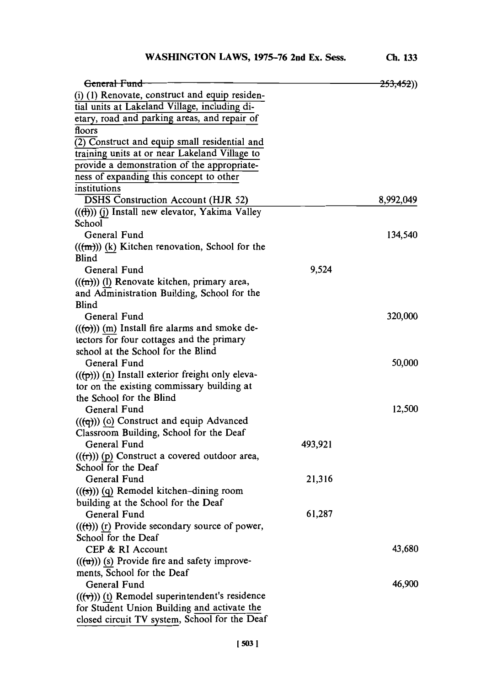**Ch. 133**

| General Fund                                                                               |         | <del>253,452</del> )) |
|--------------------------------------------------------------------------------------------|---------|-----------------------|
| (i) (1) Renovate, construct and equip residen-                                             |         |                       |
| tial units at Lakeland Village, including di-                                              |         |                       |
| etary, road and parking areas, and repair of                                               |         |                       |
| floors                                                                                     |         |                       |
| $\overline{(2)}$ Construct and equip small residential and                                 |         |                       |
| training units at or near Lakeland Village to                                              |         |                       |
| provide a demonstration of the appropriate-                                                |         |                       |
| ness of expanding this concept to other                                                    |         |                       |
| institutions                                                                               |         |                       |
| <b>DSHS Construction Account (HJR 52)</b>                                                  |         | 8,992,049             |
| ((ft)) (j) Install new elevator, Yakima Valley                                             |         |                       |
| School                                                                                     |         |                       |
| General Fund                                                                               |         | 134,540               |
| $((m))$ (k) Kitchen renovation, School for the                                             |         |                       |
| <b>Blind</b>                                                                               |         |                       |
| General Fund                                                                               | 9,524   |                       |
| $((m))$ (l) Renovate kitchen, primary area,<br>and Administration Building, School for the |         |                       |
| Blind                                                                                      |         |                       |
| General Fund                                                                               |         | 320,000               |
| $((\rightarrow)(m)$ Install fire alarms and smoke de-                                      |         |                       |
| tectors for four cottages and the primary                                                  |         |                       |
| school at the School for the Blind                                                         |         |                       |
| General Fund                                                                               |         | 50,000                |
| $((\overline{p}))$ (n) Install exterior freight only eleva-                                |         |                       |
| tor on the existing commissary building at                                                 |         |                       |
| the School for the Blind                                                                   |         |                       |
| General Fund                                                                               |         | 12,500                |
| $((\left(\overline{q}\right)))$ (o) Construct and equip Advanced                           |         |                       |
| Classroom Building, School for the Deaf                                                    |         |                       |
| General Fund                                                                               | 493,921 |                       |
| $((\text{(}r))$ (p) Construct a covered outdoor area,                                      |         |                       |
| School for the Deaf                                                                        |         |                       |
| General Fund                                                                               | 21,316  |                       |
| $((\textbf{(s)}))$ (q) Remodel kitchen-dining room                                         |         |                       |
| building at the School for the Deaf                                                        |         |                       |
| General Fund                                                                               | 61,287  |                       |
| $((\text{(*)}))$ (r) Provide secondary source of power,                                    |         |                       |
| School for the Deaf                                                                        |         |                       |
| CEP & RI Account                                                                           |         | 43,680                |
| $(((u))$ (s) Provide fire and safety improve-                                              |         |                       |
| ments, School for the Deaf                                                                 |         |                       |
| General Fund                                                                               |         | 46,900                |
| $((\forall))$ (t) Remodel superintendent's residence                                       |         |                       |
| for Student Union Building and activate the                                                |         |                       |
| closed circuit TV system, School for the Deaf                                              |         |                       |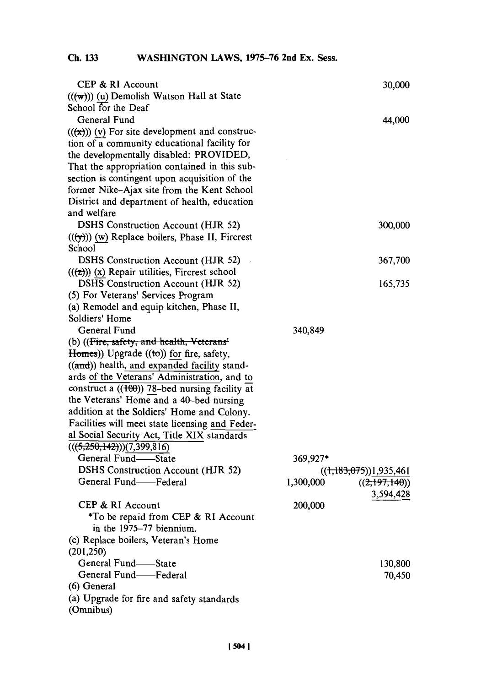| CEP & RI Account<br>$((\mathbf{w}))$ (u) Demolish Watson Hall at State | 30,000                     |
|------------------------------------------------------------------------|----------------------------|
| School for the Deaf                                                    |                            |
| General Fund                                                           |                            |
| $((\mathbf{x}))$ (v) For site development and construc-                | 44,000                     |
| tion of a community educational facility for                           |                            |
|                                                                        |                            |
| the developmentally disabled: PROVIDED,                                |                            |
| That the appropriation contained in this sub-                          |                            |
| section is contingent upon acquisition of the                          |                            |
| former Nike-Ajax site from the Kent School                             |                            |
| District and department of health, education                           |                            |
| and welfare                                                            |                            |
| DSHS Construction Account (HJR 52)                                     | 300,000                    |
| $((\forall))$ (w) Replace boilers, Phase II, Fircrest                  |                            |
| School                                                                 |                            |
| DSHS Construction Account (HJR 52)                                     | 367,700                    |
| $((z))$ (x) Repair utilities, Fircrest school                          |                            |
| DSHS Construction Account (HJR 52)                                     | 165,735                    |
| (5) For Veterans' Services Program                                     |                            |
| (a) Remodel and equip kitchen, Phase II,                               |                            |
| Soldiers' Home                                                         |                            |
| General Fund                                                           | 340,849                    |
| (b) ((Fire, safety, and health, Veterans <sup>1</sup>                  |                            |
| Homes)) Upgrade ((to)) for fire, safety,                               |                            |
| ((and)) health, and expanded facility stand-                           |                            |
| ards of the Veterans' Administration, and to                           |                            |
| construct a $((100))$ 78-bed nursing facility at                       |                            |
| the Veterans' Home and a 40-bed nursing                                |                            |
| addition at the Soldiers' Home and Colony.                             |                            |
| Facilities will meet state licensing and Feder-                        |                            |
| al Social Security Act, Title XIX standards                            |                            |
| (((5,250,142)))(7,399,816)                                             |                            |
| General Fund-State                                                     | 369,927*                   |
| DSHS Construction Account (HJR 52)                                     | ((1,183,075))1,935,461     |
| General Fund-Federal                                                   | 1,300,000<br>((2,197,140)) |
|                                                                        | 3,594,428                  |
| CEP & RI Account                                                       | 200,000                    |
| *To be repaid from CEP & RI Account                                    |                            |
| in the 1975–77 biennium.                                               |                            |
| (c) Replace boilers, Veteran's Home                                    |                            |
| (201, 250)                                                             |                            |
| General Fund-State                                                     | 130,800                    |
| General Fund-Federal                                                   | 70,450                     |
| (6) General                                                            |                            |
| (a) Upgrade for fire and safety standards                              |                            |
| (Omnibus)                                                              |                            |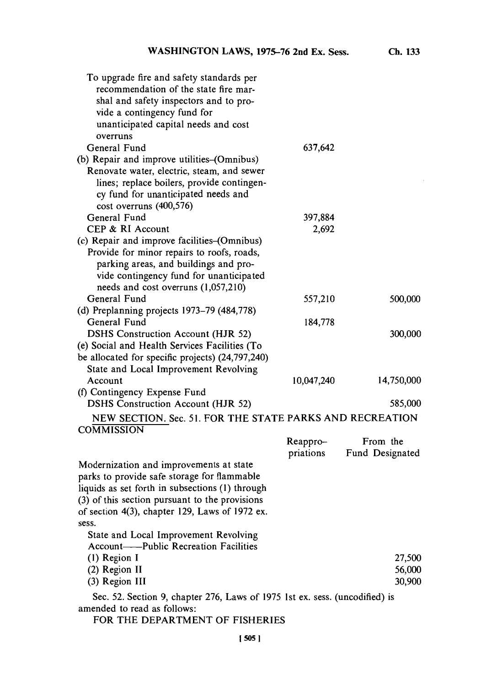| To upgrade fire and safety standards per                                      |            |                 |
|-------------------------------------------------------------------------------|------------|-----------------|
| recommendation of the state fire mar-                                         |            |                 |
| shal and safety inspectors and to pro-                                        |            |                 |
| vide a contingency fund for                                                   |            |                 |
| unanticipated capital needs and cost                                          |            |                 |
| overruns                                                                      |            |                 |
| General Fund                                                                  | 637,642    |                 |
| (b) Repair and improve utilities–(Omnibus)                                    |            |                 |
| Renovate water, electric, steam, and sewer                                    |            |                 |
| lines; replace boilers, provide contingen-                                    |            |                 |
| cy fund for unanticipated needs and                                           |            |                 |
| cost overruns (400,576)                                                       |            |                 |
| General Fund                                                                  | 397,884    |                 |
| CEP & RI Account                                                              | 2,692      |                 |
|                                                                               |            |                 |
| (c) Repair and improve facilities-(Omnibus)                                   |            |                 |
| Provide for minor repairs to roofs, roads,                                    |            |                 |
| parking areas, and buildings and pro-                                         |            |                 |
| vide contingency fund for unanticipated                                       |            |                 |
| needs and cost overruns (1,057,210)                                           |            |                 |
| General Fund                                                                  | 557,210    | 500,000         |
| (d) Preplanning projects 1973-79 (484,778)                                    |            |                 |
| General Fund                                                                  | 184,778    |                 |
| <b>DSHS Construction Account (HJR 52)</b>                                     |            | 300,000         |
| (e) Social and Health Services Facilities (To                                 |            |                 |
| be allocated for specific projects) (24,797,240)                              |            |                 |
| State and Local Improvement Revolving                                         |            |                 |
| Account                                                                       | 10,047,240 | 14,750,000      |
| (f) Contingency Expense Fund                                                  |            |                 |
| <b>DSHS Construction Account (HJR 52)</b>                                     |            | 585,000         |
| NEW SECTION. Sec. 51. FOR THE STATE PARKS AND RECREATION<br><b>COMMISSION</b> |            |                 |
|                                                                               | Reappro-   | From the        |
|                                                                               | priations  | Fund Designated |
| Modernization and improvements at state                                       |            |                 |
| parks to provide safe storage for flammable                                   |            |                 |
| liquids as set forth in subsections (1) through                               |            |                 |
| (3) of this section pursuant to the provisions                                |            |                 |
| of section $4(3)$ , chapter 129, Laws of 1972 ex.                             |            |                 |
| sess.                                                                         |            |                 |
| State and Local Improvement Revolving                                         |            |                 |
| <b>Account----Public Recreation Facilities</b>                                |            |                 |
| (1) Region I                                                                  |            | 27,500          |
| (2) Region II                                                                 |            | 56,000          |
| (3) Region III                                                                |            | 30,900          |
|                                                                               |            |                 |
| Sec. 52. Section 9, chapter 276, Laws of 1975 1st ex. sess. (uncodified) is   |            |                 |
| amended to read as follows:                                                   |            |                 |

FOR THE DEPARTMENT OF **FISHERIES**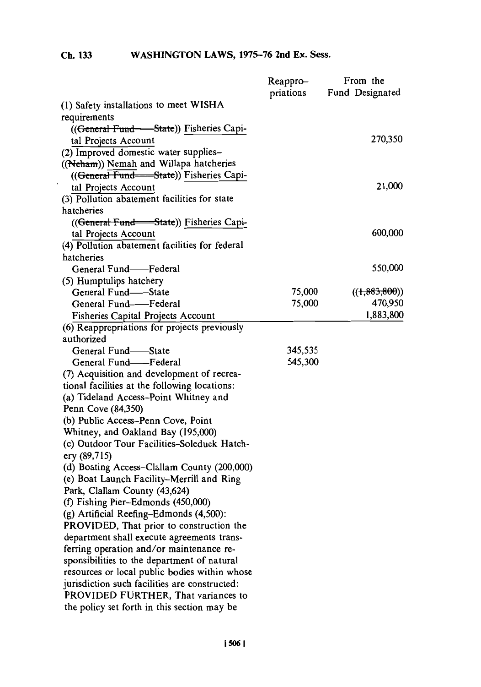|                                                | Reappro-  | From the        |
|------------------------------------------------|-----------|-----------------|
|                                                | priations | Fund Designated |
| (1) Safety installations to meet WISHA         |           |                 |
| requirements                                   |           |                 |
| ((General Fund—State)) Fisheries Capi-         |           |                 |
| tal Projects Account                           |           | 270,350         |
| (2) Improved domestic water supplies-          |           |                 |
| ((Neham)) Nemah and Willapa hatcheries         |           |                 |
| ((General Fund--State)) Fisheries Capi-        |           |                 |
| tal Projects Account                           |           | 21,000          |
| (3) Pollution abatement facilities for state   |           |                 |
| hatcheries                                     |           |                 |
| ((General Fund-State)) Fisheries Capi-         |           |                 |
| tal Projects Account                           |           | 600,000         |
| (4) Pollution abatement facilities for federal |           |                 |
| hatcheries                                     |           |                 |
| General Fund——Federal                          |           | 550,000         |
| (5) Humptulips hatchery                        |           |                 |
| General Fund-State                             | 75,000    | ((1,883,800))   |
| General Fund-Federal                           | 75,000    | 470,950         |
| <b>Fisheries Capital Projects Account</b>      |           | 1,883,800       |
| (6) Reappropriations for projects previously   |           |                 |
| authorized                                     |           |                 |
| General Fund-State                             | 345,535   |                 |
| General Fund-Federal                           | 545,300   |                 |
| (7) Acquisition and development of recrea-     |           |                 |
| tional facilities at the following locations:  |           |                 |
| (a) Tideland Access-Point Whitney and          |           |                 |
| Penn Cove (84,350)                             |           |                 |
| (b) Public Access-Penn Cove, Point             |           |                 |
| Whitney, and Oakland Bay (195,000)             |           |                 |
| (c) Outdoor Tour Facilities-Soleduck Hatch-    |           |                 |
| ery (89,715)                                   |           |                 |
| (d) Boating Access-Clallam County (200,000)    |           |                 |
| (e) Boat Launch Facility-Merrill and Ring      |           |                 |
| Park, Clallam County (43,624)                  |           |                 |
| (f) Fishing Pier-Edmonds (450,000)             |           |                 |
| (g) Artificial Reefing-Edmonds (4,500):        |           |                 |
| PROVIDED, That prior to construction the       |           |                 |
| department shall execute agreements trans-     |           |                 |
| ferring operation and/or maintenance re-       |           |                 |
| sponsibilities to the department of natural    |           |                 |
| resources or local public bodies within whose  |           |                 |
| jurisdiction such facilities are constructed:  |           |                 |
| PROVIDED FURTHER, That variances to            |           |                 |
| the policy set forth in this section may be    |           |                 |
|                                                |           |                 |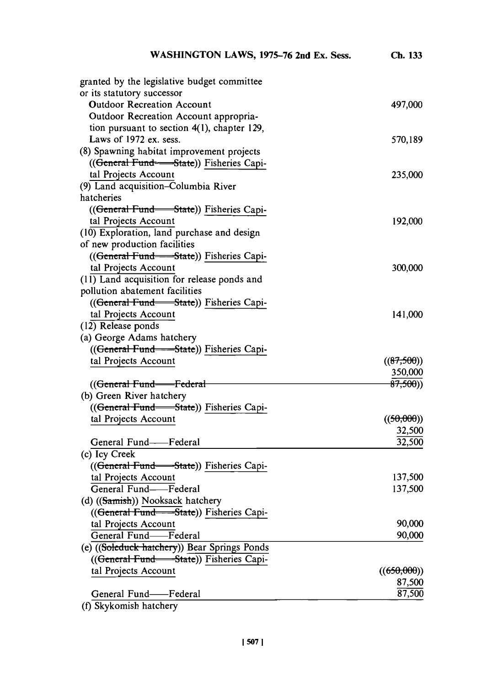| WASHINGTON LAWS, 1975-76 2nd Ex. Sess.                | Ch. 133              |
|-------------------------------------------------------|----------------------|
| granted by the legislative budget committee           |                      |
| or its statutory successor                            |                      |
| <b>Outdoor Recreation Account</b>                     | 497,000              |
| Outdoor Recreation Account appropria-                 |                      |
| tion pursuant to section $4(1)$ , chapter 129,        |                      |
| Laws of 1972 ex. sess.                                | 570,189              |
| (8) Spawning habitat improvement projects             |                      |
| (( <del>General Fund - State</del> )) Fisheries Capi- |                      |
| tal Projects Account                                  | 235,000              |
| (9) Land acquisition-Columbia River                   |                      |
| hatcheries                                            |                      |
| (( <del>General Fund - State</del> )) Fisheries Capi- |                      |
| tal Projects Account                                  | 192,000              |
| (10) Exploration, land purchase and design            |                      |
| of new production facilities                          |                      |
| ((General Fund—State)) Fisheries Capi-                |                      |
| tal Projects Account                                  | 300,000              |
| (11) Land acquisition for release ponds and           |                      |
| pollution abatement facilities                        |                      |
| ((General Fund State)) Fisheries Capi-                |                      |
| tal Projects Account                                  | 141,000              |
| (12) Release ponds                                    |                      |
| (a) George Adams hatchery                             |                      |
| ((General Fund - State)) Fisheries Capi-              |                      |
| tal Projects Account                                  | ((87,500))           |
|                                                       | 350,000              |
| ((General Fund----Federal                             | <del>87,500</del> )) |
| (b) Green River hatchery                              |                      |
| ((General Fund State)) Fisheries Capi-                |                      |
| tal Projects Account                                  | ((50,000))           |
|                                                       | 32,500               |
| General Fund----Federal                               | 32,500               |
| (c) Icy Creek                                         |                      |
| ((General Fund - State)) Fisheries Capi-              |                      |
| tal Projects Account                                  | 137,500              |
| General Fund-Federal                                  | 137,500              |
| (d) ((Samish)) Nooksack hatchery                      |                      |
| ((General Fund - State)) Fisheries Capi-              |                      |
| tal Projects Account                                  | 90,000               |
| General Fund-Federal                                  | 90,000               |
| (e) ((Soleduck hatchery)) Bear Springs Ponds          |                      |
| ((General Fund State)) Fisheries Capi-                |                      |
| tal Projects Account                                  | ((650,000))          |
|                                                       | 87,500               |
| General Fund-Federal                                  | 87,500               |
|                                                       |                      |

 $(f)$  Skykomish hatchery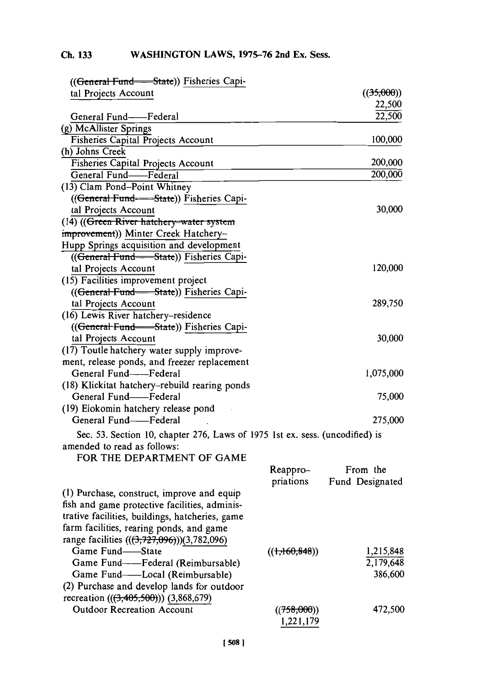| ((General Fund - State)) Fisheries Capi-                                     |               |                 |
|------------------------------------------------------------------------------|---------------|-----------------|
| tal Projects Account                                                         |               | ((35,000))      |
|                                                                              |               | 22,500          |
| General Fund-Federal                                                         |               | 22,500          |
| (g) McAllister Springs                                                       |               |                 |
| Fisheries Capital Projects Account                                           |               | 100,000         |
| (h) Johns Creek                                                              |               |                 |
| Fisheries Capital Projects Account                                           |               | 200,000         |
| General Fund-Federal                                                         |               | 200,000         |
| (13) Clam Pond-Point Whitney                                                 |               |                 |
| ((General Fund--State)) Fisheries Capi-                                      |               |                 |
| tal Projects Account                                                         |               | 30,000          |
| (14) ((Green River hatchery-water system                                     |               |                 |
| improvement)) Minter Creek Hatchery-                                         |               |                 |
| Hupp Springs acquisition and development                                     |               |                 |
| ((General Fund--State)) Fisheries Capi-                                      |               |                 |
| tal Projects Account                                                         |               | 120,000         |
| (15) Facilities improvement project                                          |               |                 |
| ((General Fund-State)) Fisheries Capi-                                       |               |                 |
| tal Projects Account                                                         |               | 289,750         |
| (16) Lewis River hatchery-residence                                          |               |                 |
|                                                                              |               |                 |
| ((General Fund-State)) Fisheries Capi-<br>tal Projects Account               |               | 30,000          |
|                                                                              |               |                 |
| (17) Toutle hatchery water supply improve-                                   |               |                 |
| ment, release ponds, and freezer replacement<br>General Fund--Federal        |               | 1,075,000       |
|                                                                              |               |                 |
| (18) Klickitat hatchery-rebuild rearing ponds<br>General Fund-Federal        |               | 75,000          |
|                                                                              |               |                 |
| (19) Elokomin hatchery release pond<br>General Fund-Federal                  |               |                 |
|                                                                              |               | 275,000         |
| Sec. 53. Section 10, chapter 276, Laws of 1975 1st ex. sess. (uncodified) is |               |                 |
| amended to read as follows:                                                  |               |                 |
| FOR THE DEPARTMENT OF GAME                                                   |               |                 |
|                                                                              | Reappro-      | From the        |
|                                                                              | priations     | Fund Designated |
| (1) Purchase, construct, improve and equip                                   |               |                 |
| fish and game protective facilities, adminis-                                |               |                 |
| trative facilities, buildings, hatcheries, game                              |               |                 |
| farm facilities, rearing ponds, and game                                     |               |                 |
| range facilities $((3,727,096))(3,782,096)$                                  |               |                 |
| Game Fund-State                                                              | ((1,160,848)) | 1,215,848       |
| Game Fund--Federal (Reimbursable)                                            |               | 2,179,648       |
| Game Fund-Local (Reimbursable)                                               |               | 386,600         |
| (2) Purchase and develop lands for outdoor                                   |               |                 |
| recreation (((3,405,500))) (3,868,679)                                       |               |                 |
| <b>Outdoor Recreation Account</b>                                            | ((758,000))   | 472,500         |
|                                                                              | 1,221,179     |                 |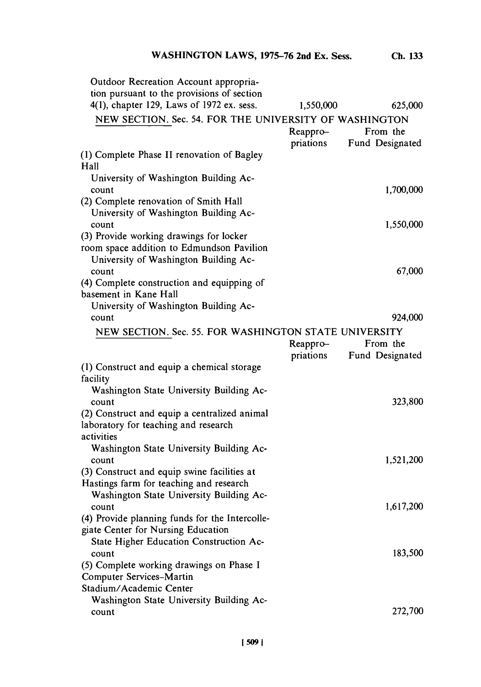| Outdoor Recreation Account appropria-<br>tion pursuant to the provisions of section<br>4(1), chapter 129, Laws of 1972 ex. sess. | 1,550,000 | 625,000         |
|----------------------------------------------------------------------------------------------------------------------------------|-----------|-----------------|
|                                                                                                                                  |           |                 |
| NEW SECTION. Sec. 54. FOR THE UNIVERSITY OF WASHINGTON                                                                           |           |                 |
|                                                                                                                                  | Reappro-  | From the        |
|                                                                                                                                  | priations | Fund Designated |
| (1) Complete Phase II renovation of Bagley                                                                                       |           |                 |
| Hall                                                                                                                             |           |                 |
| University of Washington Building Ac-                                                                                            |           |                 |
| count                                                                                                                            |           | 1,700,000       |
| (2) Complete renovation of Smith Hall                                                                                            |           |                 |
| University of Washington Building Ac-                                                                                            |           |                 |
| count                                                                                                                            |           | 1,550,000       |
| (3) Provide working drawings for locker                                                                                          |           |                 |
| room space addition to Edmundson Pavilion                                                                                        |           |                 |
| University of Washington Building Ac-                                                                                            |           |                 |
| count                                                                                                                            |           | 67,000          |
| (4) Complete construction and equipping of                                                                                       |           |                 |
| basement in Kane Hall                                                                                                            |           |                 |
| University of Washington Building Ac-                                                                                            |           |                 |
| count                                                                                                                            |           | 924,000         |
|                                                                                                                                  |           |                 |
| NEW SECTION. Sec. 55. FOR WASHINGTON STATE UNIVERSITY                                                                            |           |                 |
|                                                                                                                                  | Reappro-  | From the        |
|                                                                                                                                  | priations | Fund Designated |
| (1) Construct and equip a chemical storage                                                                                       |           |                 |
| facility                                                                                                                         |           |                 |
| Washington State University Building Ac-                                                                                         |           |                 |
| count                                                                                                                            |           | 323,800         |
| (2) Construct and equip a centralized animal                                                                                     |           |                 |
| laboratory for teaching and research                                                                                             |           |                 |
| activities                                                                                                                       |           |                 |
| Washington State University Building Ac-                                                                                         |           |                 |
| count                                                                                                                            |           | 1,521,200       |
| (3) Construct and equip swine facilities at                                                                                      |           |                 |
| Hastings farm for teaching and research                                                                                          |           |                 |
| Washington State University Building Ac-                                                                                         |           |                 |
| count                                                                                                                            |           | 1,617,200       |
| (4) Provide planning funds for the Intercolle-                                                                                   |           |                 |
| giate Center for Nursing Education                                                                                               |           |                 |
|                                                                                                                                  |           |                 |
| State Higher Education Construction Ac-                                                                                          |           |                 |
| count                                                                                                                            |           | 183,500         |
| (5) Complete working drawings on Phase I                                                                                         |           |                 |
| Computer Services-Martin                                                                                                         |           |                 |
| Stadium/Academic Center                                                                                                          |           |                 |
| Washington State University Building Ac-                                                                                         |           |                 |
| count                                                                                                                            |           | 272,700         |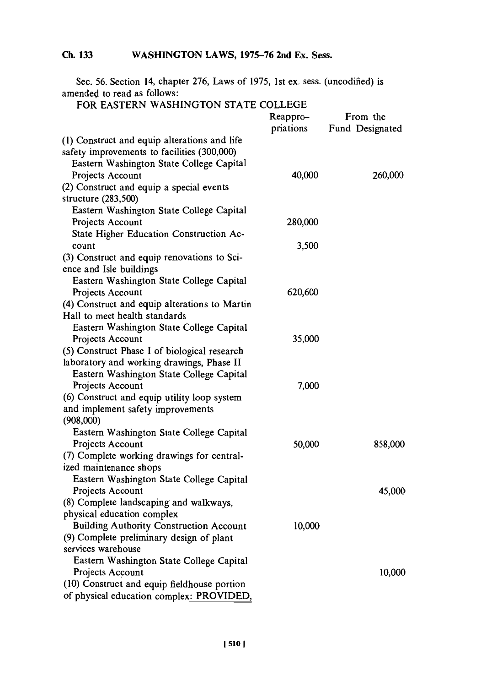Sec. **56.** Section 14, chapter **276,** Laws of **1975,** 1st ex. sess. (uncodified) is amended to read as follows:

# FOR **EASTERN** WASHINGTON **STATE COLLEGE**

|                                                | Reappro-  | From the        |  |
|------------------------------------------------|-----------|-----------------|--|
|                                                | priations | Fund Designated |  |
| (1) Construct and equip alterations and life   |           |                 |  |
| safety improvements to facilities (300,000)    |           |                 |  |
| Eastern Washington State College Capital       |           |                 |  |
| Projects Account                               | 40,000    | 260,000         |  |
| (2) Construct and equip a special events       |           |                 |  |
| structure (283,500)                            |           |                 |  |
| Eastern Washington State College Capital       |           |                 |  |
| Projects Account                               | 280,000   |                 |  |
| State Higher Education Construction Ac-        |           |                 |  |
| count                                          | 3,500     |                 |  |
| (3) Construct and equip renovations to Sci-    |           |                 |  |
| ence and Isle buildings                        |           |                 |  |
| Eastern Washington State College Capital       |           |                 |  |
| Projects Account                               | 620,600   |                 |  |
| (4) Construct and equip alterations to Martin  |           |                 |  |
| Hall to meet health standards                  |           |                 |  |
| Eastern Washington State College Capital       |           |                 |  |
| Projects Account                               | 35,000    |                 |  |
| (5) Construct Phase I of biological research   |           |                 |  |
| laboratory and working drawings, Phase II      |           |                 |  |
| Eastern Washington State College Capital       |           |                 |  |
| Projects Account                               | 7,000     |                 |  |
| (6) Construct and equip utility loop system    |           |                 |  |
| and implement safety improvements              |           |                 |  |
| (908,000)                                      |           |                 |  |
| Eastern Washington State College Capital       |           |                 |  |
| Projects Account                               | 50,000    | 858,000         |  |
| (7) Complete working drawings for central-     |           |                 |  |
| ized maintenance shops                         |           |                 |  |
| Eastern Washington State College Capital       |           |                 |  |
| Projects Account                               |           | 45,000          |  |
| (8) Complete landscaping and walkways,         |           |                 |  |
| physical education complex                     |           |                 |  |
| <b>Building Authority Construction Account</b> | 10,000    |                 |  |
| (9) Complete preliminary design of plant       |           |                 |  |
| services warehouse                             |           |                 |  |
| Eastern Washington State College Capital       |           |                 |  |
| Projects Account                               |           | 10,000          |  |
| (10) Construct and equip fieldhouse portion    |           |                 |  |
| of physical education complex: PROVIDED,       |           |                 |  |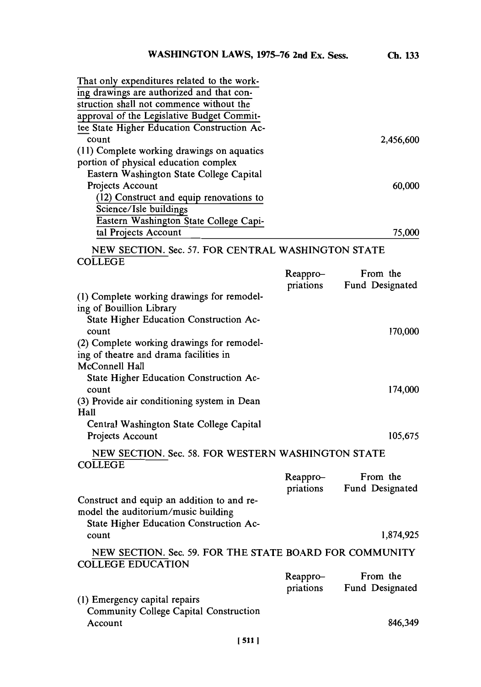| WASHINGTON LAWS, 1975-76 2nd Ex. Sess.                                                                                                                                                                             |                       | Ch. 133                     |
|--------------------------------------------------------------------------------------------------------------------------------------------------------------------------------------------------------------------|-----------------------|-----------------------------|
| That only expenditures related to the work-<br>ing drawings are authorized and that con-                                                                                                                           |                       |                             |
| struction shall not commence without the<br>approval of the Legislative Budget Commit-                                                                                                                             |                       |                             |
| tee State Higher Education Construction Ac-<br>count                                                                                                                                                               |                       | 2,456,600                   |
| (11) Complete working drawings on aquatics<br>portion of physical education complex<br>Eastern Washington State College Capital                                                                                    |                       |                             |
| Projects Account<br>(12) Construct and equip renovations to<br>Science/Isle buildings<br>Eastern Washington State College Capi-                                                                                    |                       | 60,000                      |
| tal Projects Account                                                                                                                                                                                               |                       | 75,000                      |
| NEW SECTION. Sec. 57. FOR CENTRAL WASHINGTON STATE<br><b>COLLEGE</b>                                                                                                                                               |                       |                             |
|                                                                                                                                                                                                                    | Reappro-<br>priations | From the<br>Fund Designated |
| (1) Complete working drawings for remodel-<br>ing of Bouillion Library<br>State Higher Education Construction Ac-<br>count<br>(2) Complete working drawings for remodel-<br>ing of theatre and drama facilities in |                       | 170,000                     |
| McConnell Hall<br>State Higher Education Construction Ac-<br>count<br>(3) Provide air conditioning system in Dean<br>Hall                                                                                          |                       | 174,000                     |
| Central Washington State College Capital<br>Projects Account                                                                                                                                                       |                       | 105,675                     |
| NEW SECTION. Sec. 58. FOR WESTERN WASHINGTON STATE<br><b>COLLEGE</b>                                                                                                                                               |                       |                             |
|                                                                                                                                                                                                                    | Reappro-<br>priations | From the<br>Fund Designated |
| Construct and equip an addition to and re-<br>model the auditorium/music building<br>State Higher Education Construction Ac-                                                                                       |                       |                             |
| count                                                                                                                                                                                                              |                       | 1,874,925                   |
| NEW SECTION. Sec. 59. FOR THE STATE BOARD FOR COMMUNITY<br><b>COLLEGE EDUCATION</b>                                                                                                                                |                       |                             |
|                                                                                                                                                                                                                    | Reappro-<br>priations | From the<br>Fund Designated |
| (1) Emergency capital repairs<br>Community College Capital Construction<br>Account                                                                                                                                 |                       | 846,349                     |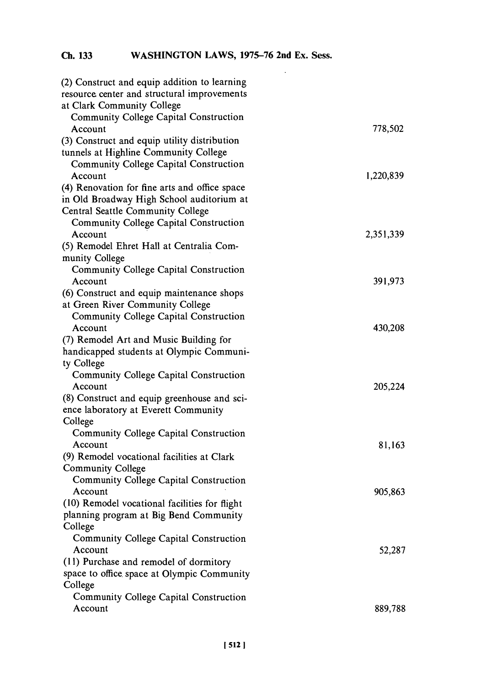| (2) Construct and equip addition to learning  |           |
|-----------------------------------------------|-----------|
| resource center and structural improvements   |           |
| at Clark Community College                    |           |
| <b>Community College Capital Construction</b> |           |
| Account                                       | 778,502   |
| (3) Construct and equip utility distribution  |           |
| tunnels at Highline Community College         |           |
| <b>Community College Capital Construction</b> |           |
| Account                                       | 1,220,839 |
| (4) Renovation for fine arts and office space |           |
| in Old Broadway High School auditorium at     |           |
| Central Seattle Community College             |           |
| <b>Community College Capital Construction</b> |           |
| Account                                       | 2,351,339 |
| (5) Remodel Ehret Hall at Centralia Com-      |           |
| munity College                                |           |
| Community College Capital Construction        |           |
| Account                                       | 391,973   |
| (6) Construct and equip maintenance shops     |           |
| at Green River Community College              |           |
| Community College Capital Construction        |           |
| Account                                       | 430,208   |
| (7) Remodel Art and Music Building for        |           |
| handicapped students at Olympic Communi-      |           |
| ty College                                    |           |
| Community College Capital Construction        |           |
| Account                                       | 205,224   |
| (8) Construct and equip greenhouse and sci-   |           |
| ence laboratory at Everett Community          |           |
| College                                       |           |
| Community College Capital Construction        |           |
| Account                                       | 81,163    |
| (9) Remodel vocational facilities at Clark    |           |
| Community College                             |           |
| Community College Capital Construction        |           |
| Account                                       | 905,863   |
| (10) Remodel vocational facilities for flight |           |
| planning program at Big Bend Community        |           |
| College                                       |           |
| <b>Community College Capital Construction</b> |           |
| Account                                       | 52,287    |
| (11) Purchase and remodel of dormitory        |           |
| space to office space at Olympic Community    |           |
| College                                       |           |
| Community College Capital Construction        |           |
| Account                                       | 889,788   |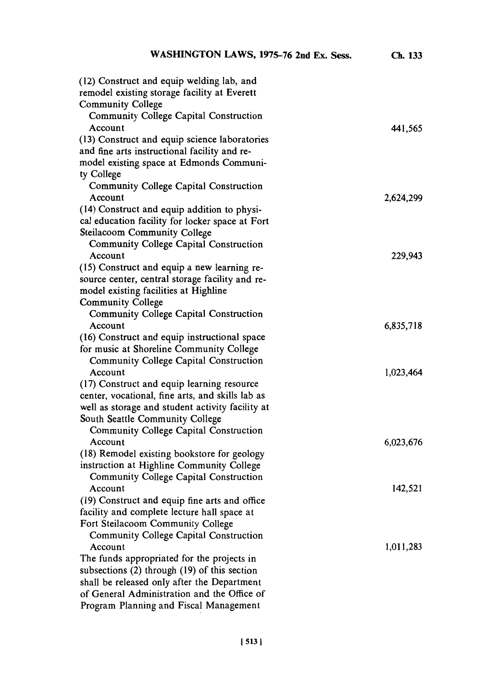| (12) Construct and equip welding lab, and        |           |
|--------------------------------------------------|-----------|
| remodel existing storage facility at Everett     |           |
| <b>Community College</b>                         |           |
| Community College Capital Construction           |           |
| Account                                          | 441,565   |
| (13) Construct and equip science laboratories    |           |
| and fine arts instructional facility and re-     |           |
| model existing space at Edmonds Communi-         |           |
| ty College                                       |           |
| Community College Capital Construction           |           |
| Account                                          | 2,624,299 |
| (14) Construct and equip addition to physi-      |           |
| cal education facility for locker space at Fort  |           |
| Steilacoom Community College                     |           |
| Community College Capital Construction           |           |
| Account                                          | 229,943   |
| (15) Construct and equip a new learning re-      |           |
| source center, central storage facility and re-  |           |
| model existing facilities at Highline            |           |
| <b>Community College</b>                         |           |
| Community College Capital Construction           |           |
| Account                                          | 6,835,718 |
| (16) Construct and equip instructional space     |           |
| for music at Shoreline Community College         |           |
| Community College Capital Construction           |           |
| Account                                          | 1,023,464 |
| (17) Construct and equip learning resource       |           |
| center, vocational, fine arts, and skills lab as |           |
| well as storage and student activity facility at |           |
| South Seattle Community College                  |           |
| Community College Capital Construction           |           |
| Account                                          | 6,023,676 |
| (18) Remodel existing bookstore for geology      |           |
| instruction at Highline Community College        |           |
| Community College Capital Construction           |           |
| Account                                          | 142,521   |
| (19) Construct and equip fine arts and office    |           |
| facility and complete lecture hall space at      |           |
| Fort Steilacoom Community College                |           |
| Community College Capital Construction           |           |
| Account                                          | 1,011,283 |
| The funds appropriated for the projects in       |           |
| subsections (2) through (19) of this section     |           |
| shall be released only after the Department      |           |
| of General Administration and the Office of      |           |
| Program Planning and Fiscal Management           |           |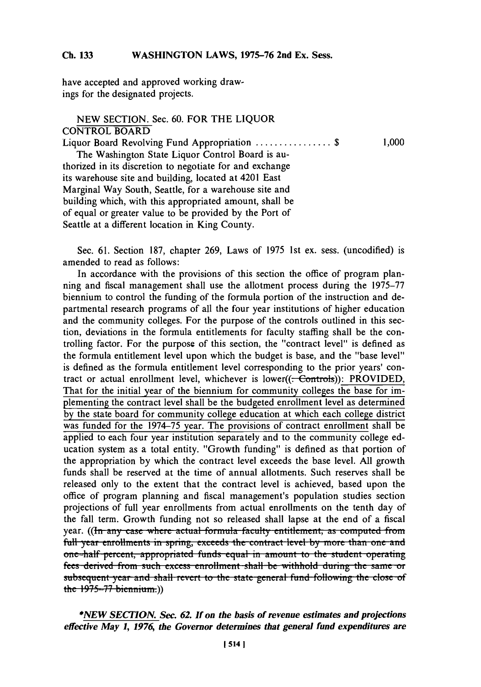have accepted and approved working drawings for the designated projects.

# **NEW SECTION.** Sec. **60.** FOR THE **LIQUOR CONTROL BOARD** Liquor Board Revolving Fund Appropriation **............... \$ 1,000** The Washington State Liquor Control Board is authorized in its discretion to negotiate for and exchange its warehouse site and building, located at 4201 East Marginal Way South, Seattle, for a warehouse site and building which, with this appropriated amount, shall be of equal or greater value to be provided **by** the Port of Seattle at a different location in King County.

Sec. **61.** Section **187,** chapter **269,** Laws of *1975* 1st ex. sess. (uncodified) is amended to read as follows:

In accordance with the provisions of this section the office of program planning and fiscal management shall use the allotment process during the **1975-77** biennium to control the funding of the formula portion of the instruction and departmental research programs of all the four year institutions of higher education and the community colleges. For the purpose of the controls outlined in this section, deviations in the formula entitlements for faculty staffing shall be the controlling factor. For the purpose of this section, the "contract level" is defined as the formula entitlement level upon which the budget is base, and the "base level" is defined as the formula entitlement level corresponding to the prior years' contract or actual enrollment level, whichever is lower( $(-$ Controls)): PROVIDED, That for the initial year of the biennium for community colleges the base for implementing the contract level shall be the budgeted enrollment level as determined **by** the state board for community college education at which each college district was funded for the **1974-75** year. The provisions of contract enrollment shall be applied to each four year institution separately and to the community college education system as a total entity. "Growth funding" is defined as that portion of the appropriation **by** which the contract level exceeds the base level. **All** growth funds shall be reserved at the time of annual allotments. Such reserves shall be released only to the extent that the contract level is achieved, based upon the office of program planning and fiscal management's population studies section projections of full year enrollments from actual enrollments on the tenth day of the fall term. Growth funding not so released shall lapse at the end of a fiscal year. ((In any case where actual formula faculty entitlement, as computed from **full year enrollments in spring, exceeds the contract level by more than one and** one-half percent, appropriated funds equal in amount to the student operating **fees derived from such excess enrollment shall be withhold during the same or** subsequent year and shall revert to the state general fund following the close of the **1975-77** biennium.)

\*AEWj~ *SECTION. Sec. 62. If on the basis of revenue estimates and projections effective May 1, 1976, the Governor determines that general fund expenditures are*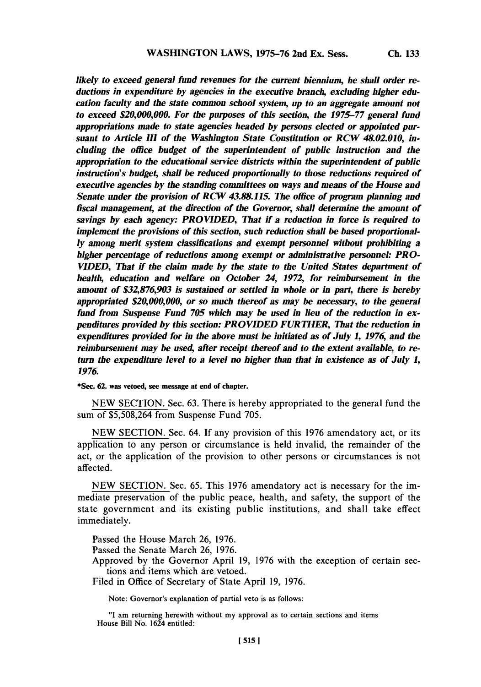**Ch. 133**

*likely to exceed general fund revenues for the current biennium, he shall order reductions in expenditure by agencies in the executive branch, excluding higher education faculty and the state common school system, up to an aggregate amount not to exceed \$20,000,000. For the purposes of this section, the 1975-77 general fund appropriations made to state agencies headed by persons elected or appointed pursuant to Article III of the Washington State Constitution or RCW 48.02.010, including the office budget of the superintendent of public instruction and the appropriation to the educational service districts within the superintendent of public instruction's budget, shall be reduced proportionally to those reductions required of executive agencies by the standing committees on ways and means of the House and Senate under the provision of RCW 43.88.115. The office of program planning and fiscal management, at the direction of the Governor, shall determine the amount of savings by each agency: PROVIDED, That if a reduction in force is required to implement the provisions of this section, such reduction shall be based proportionally among merit system classifications and exempt personnel without prohibiting a higher percentage of reductions among exempt or administrative personnel: PRO-VIDED, That if the claim made by the state to the United States department of health, education and welfare on October 24, 1972, for reimbursement in the amount of \$32,876,903 is sustained or settled in whole or in part, there is hereby appropriated \$20,000,000, or so much thereof as may be necessary, to the general fund from Suspense Fund 705 which may be used in lieu of the reduction in expenditures provided by this section: PROVIDED FURTHER, That the reduction in expenditures provided for in the above must be initiated as of July 1, 1976, and the reimbursement may be used, after receipt thereof and to the extent available, to return the expenditure level to a level no higher than that in existence as of July 1, 1976.*

\*Sec. **62.** was vetoed, see message at end of chapter.

**NEW SECTION.** Sec. **63.** There is hereby appropriated to the general fund the sum of **\$5,508,264** from Suspense Fund *705.*

**NEW SECTION.** Sec. 64. **If** any provision of this **1976** amendatory act, or its application to any person or circumstance is held invalid, the remainder of the act, or the application of the provision to other persons or circumstances is not affected.

**NEW SECTION.** Sec. **65.** This **1976** amendatory act is necessary for the immediate preservation of the public peace, health, and safety, the support of the state government and its existing public institutions, and shall take effect immediately.

Passed the House March **26, 1976.**

Passed the Senate March **26, 1976.**

Approved **by** the Governor April **19, 1976** with the exception of certain sections and items which are vetoed.

Filed in Office of Secretary of State April **19, 1976.**

Note: Governor's explanation of partial veto is as follows:

**"I** am returning herewith without my approval as to certain sections and items House Bill No. 1624 entitled: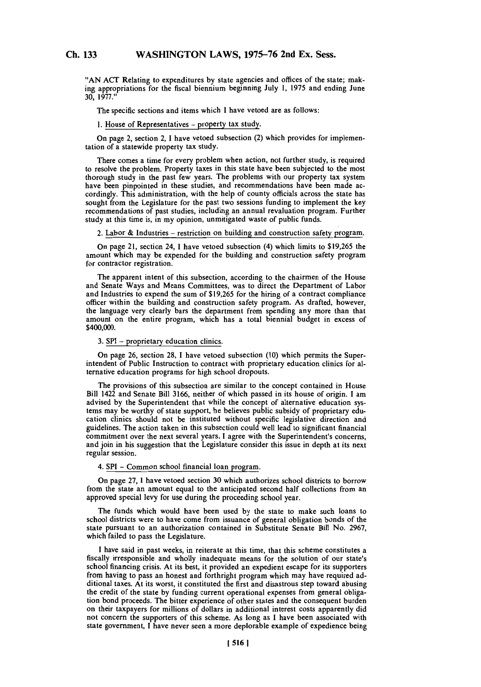**"AN ACT** Relating to expenditures **by** state agencies and offices of the state; making appropriations for the fiscal biennium beginning July **1, 1975** and ending June **30, 1977."**

The specific sections and items which I have vetoed are as follows:

### 1. House of Representatives - property tax study.

On page 2, section 2, 1 have vetoed subsection (2) which provides for implementation of a statewide property tax study.

There comes a time for every problem when action, not further study, is required to resolve the problem. Property taxes in this state have been subjected to the most thorough study in the past few years. The problems with our property tax system have been pinpointed in these studies, and recommendations have been made accordingiy. This administration, with the help of county officials across the state has sought from the Legislature for the past two sessions funding to implement the key recommendations of past studies, including an annual revaluation program. Further study at this time is, in my opinion, unmitigated waste of public funds.

2. Labor & Industries - restriction on building and construction safety program.

On page 21, section 24, **1** have vetoed subsection (4) which limits to **\$19,265** the amount which may be expended for the building and construction safety program for contractor registration.

The apparent intent of this subsection, according to the chairmen of the House and Senate Ways and Means Committees, was to direct the Department of Labor and Industries to expend the sum of **\$19,265** for the hiring of a contract compliance officer within the building and construction safety program. As drafted, however, the language very clearly bars the department from spending any more than that amount on the entire program, which has a total biennial budget in excess of \$400,000.

**3. SPI -** proprietary education clinics.

On page **26,** section **28, 1** have vetoed subsection **(10)** which permits the Superintendent of Public Instruction to contract with proprietary education clinics for alternative education programs for high school dropouts.

The provisions of this subsection are similar to the concept contained in House Bill 1422 and Senate Bill **3166,** neither of which passed in its house of origin. **I** am advised **by** the Superintendent that while the concept of alternative education systems may be worthy of state support, he believes public subsidy of proprietary education clinics should not be instituted without specific legislative direction and guidelines. The action taken in this subsection could well lead to significant financial commitment over the next several years. **I** agree with the Superintendent's concerns, and join in his suggestion that the Legislature consider this issue in depth at its next regular session.

### 4. SPI **-** Common school financial loan program.

On page **27,** I have vetoed section **30** which authorizes school districts to borrow from the state an amount equal to the anticipated second half collections from an approved special levy for use during the proceeding school year.

The funds which would have been used **by** the state to make such loans to school districts were to have come from issuance of general obligation bonds of the state pursuant to an authorization contained in Substitute Senate Bill No. **2967,** which failed to pass the Legislature.

I have said in past weeks, in reiterate at this time, that this scheme constitutes a fiscally irresponsible and wholly inadequate means for the solution of our state's school financing crisis. At its best, it provided an expedient escape for its supporters from having to pass an honest and forthright program which may have required additional taxes. At its worst, it constituted the first and disastrous step toward abusing the credit of the state **by** funding current operational expenses from general obligation bond proceeds. The bitter experience of other states and the consequent burden on their taxpayers for millions of dollars in additional interest costs apparently did not concern the supporters of this scheme. As long as **I** have been associated with state government, I have never seen a more deplorable example of expedience being